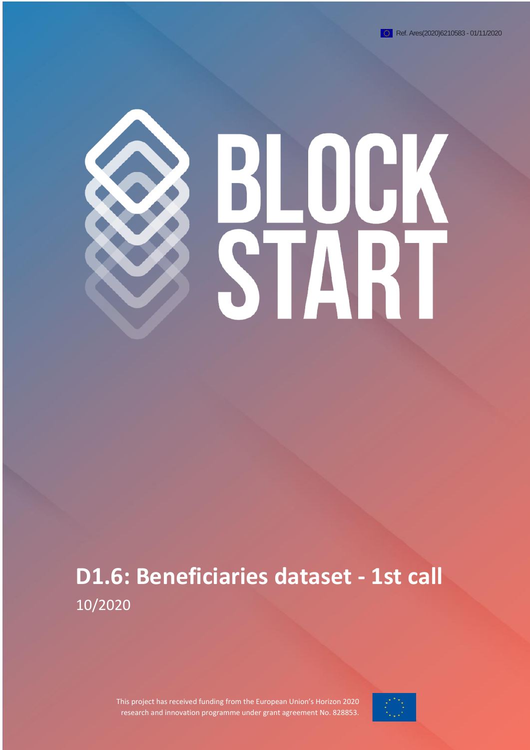# UGK STA

# **D1.6: Beneficiaries dataset - 1st call**  10/2020

This project has received funding from the European Union's Horizon 2020 research and innovation programme under grant agreement No. 828853.

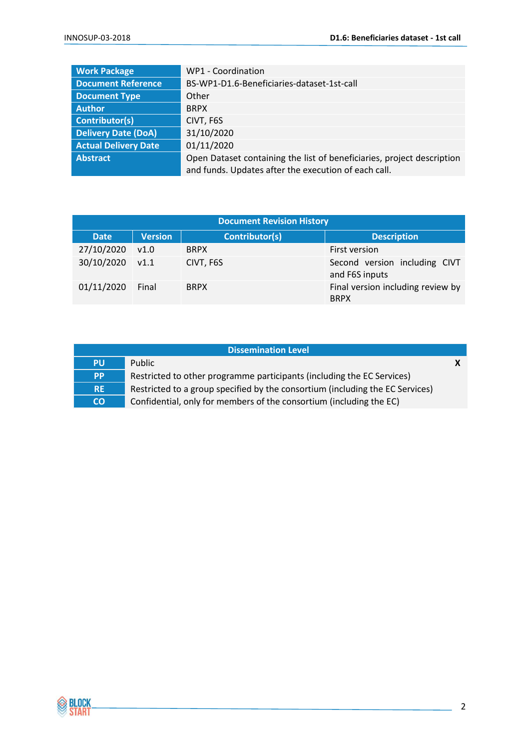| <b>Work Package</b>         | WP1 - Coordination                                                     |  |
|-----------------------------|------------------------------------------------------------------------|--|
| <b>Document Reference</b>   | BS-WP1-D1.6-Beneficiaries-dataset-1st-call                             |  |
| <b>Document Type</b>        | Other                                                                  |  |
| <b>Author</b>               | <b>BRPX</b>                                                            |  |
| Contributor(s)              | CIVT, F6S                                                              |  |
| <b>Delivery Date (DoA)</b>  | 31/10/2020                                                             |  |
| <b>Actual Delivery Date</b> | 01/11/2020                                                             |  |
| Abstract                    | Open Dataset containing the list of beneficiaries, project description |  |
|                             | and funds. Updates after the execution of each call.                   |  |

| <b>Document Revision History</b> |                |                |                                                  |
|----------------------------------|----------------|----------------|--------------------------------------------------|
| <b>Date</b>                      | <b>Version</b> | Contributor(s) | <b>Description</b>                               |
| 27/10/2020                       | v1.0           | <b>BRPX</b>    | First version                                    |
| 30/10/2020                       | V1.1           | CIVT, F6S      | Second version including CIVT<br>and F6S inputs  |
| 01/11/2020                       | Final          | <b>BRPX</b>    | Final version including review by<br><b>BRPX</b> |

| <b>Dissemination Level</b> |                                                                               |  |
|----------------------------|-------------------------------------------------------------------------------|--|
| <b>PU</b>                  | <b>Public</b>                                                                 |  |
| <b>PP</b>                  | Restricted to other programme participants (including the EC Services)        |  |
| <b>RE</b>                  | Restricted to a group specified by the consortium (including the EC Services) |  |
| <b>CO</b>                  | Confidential, only for members of the consortium (including the EC)           |  |

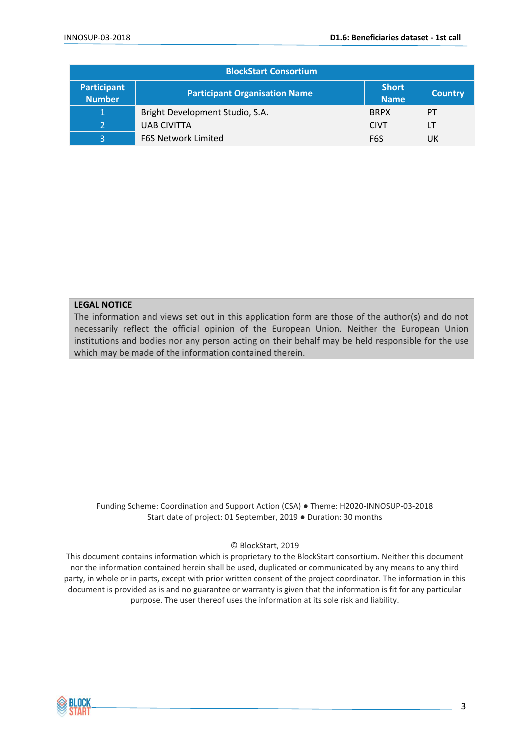| <b>BlockStart Consortium</b>        |                                      |                             |                |
|-------------------------------------|--------------------------------------|-----------------------------|----------------|
| <b>Participant</b><br><b>Number</b> | <b>Participant Organisation Name</b> | <b>Short</b><br><b>Name</b> | <b>Country</b> |
| 1                                   | Bright Development Studio, S.A.      | <b>BRPX</b>                 | PT             |
|                                     | <b>UAB CIVITTA</b>                   | <b>CIVT</b>                 | LT             |
| 3                                   | <b>F6S Network Limited</b>           | F6S                         | UK             |

#### **LEGAL NOTICE**

The information and views set out in this application form are those of the author(s) and do not necessarily reflect the official opinion of the European Union. Neither the European Union institutions and bodies nor any person acting on their behalf may be held responsible for the use which may be made of the information contained therein.

Funding Scheme: Coordination and Support Action (CSA) ● Theme: H2020-INNOSUP-03-2018 Start date of project: 01 September, 2019 ● Duration: 30 months

© BlockStart, 2019

This document contains information which is proprietary to the BlockStart consortium. Neither this document nor the information contained herein shall be used, duplicated or communicated by any means to any third party, in whole or in parts, except with prior written consent of the project coordinator. The information in this document is provided as is and no guarantee or warranty is given that the information is fit for any particular purpose. The user thereof uses the information at its sole risk and liability.

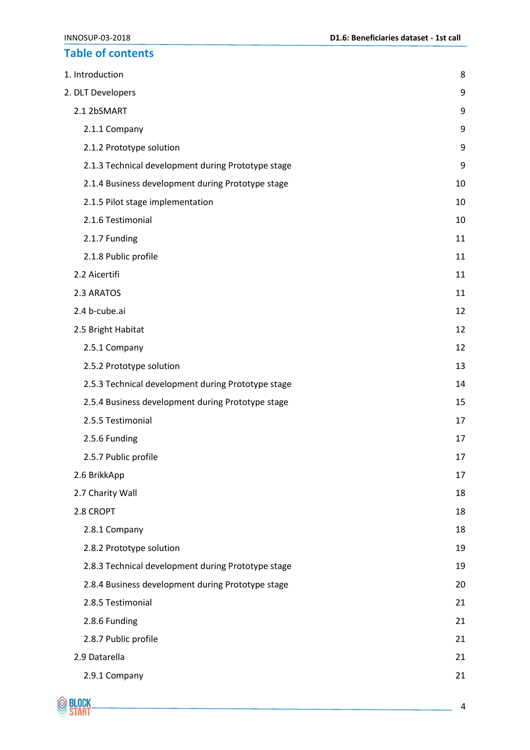# **Table of contents**

| 1. Introduction                                    | 8  |
|----------------------------------------------------|----|
| 2. DLT Developers                                  | 9  |
| 2.1 2bSMART                                        | 9  |
| 2.1.1 Company                                      | 9  |
| 2.1.2 Prototype solution                           | 9  |
| 2.1.3 Technical development during Prototype stage | 9  |
| 2.1.4 Business development during Prototype stage  | 10 |
| 2.1.5 Pilot stage implementation                   | 10 |
| 2.1.6 Testimonial                                  | 10 |
| 2.1.7 Funding                                      | 11 |
| 2.1.8 Public profile                               | 11 |
| 2.2 Aicertifi                                      | 11 |
| 2.3 ARATOS                                         | 11 |
| 2.4 b-cube.ai                                      | 12 |
| 2.5 Bright Habitat                                 | 12 |
| 2.5.1 Company                                      | 12 |
| 2.5.2 Prototype solution                           | 13 |
| 2.5.3 Technical development during Prototype stage | 14 |
| 2.5.4 Business development during Prototype stage  | 15 |
| 2.5.5 Testimonial                                  | 17 |
| 2.5.6 Funding                                      | 17 |
| 2.5.7 Public profile                               | 17 |
| 2.6 BrikkApp                                       | 17 |
| 2.7 Charity Wall                                   | 18 |
| 2.8 CROPT                                          | 18 |
| 2.8.1 Company                                      | 18 |
| 2.8.2 Prototype solution                           | 19 |
| 2.8.3 Technical development during Prototype stage | 19 |
| 2.8.4 Business development during Prototype stage  | 20 |
| 2.8.5 Testimonial                                  | 21 |
| 2.8.6 Funding                                      | 21 |
| 2.8.7 Public profile                               | 21 |
| 2.9 Datarella                                      | 21 |
| 2.9.1 Company                                      | 21 |

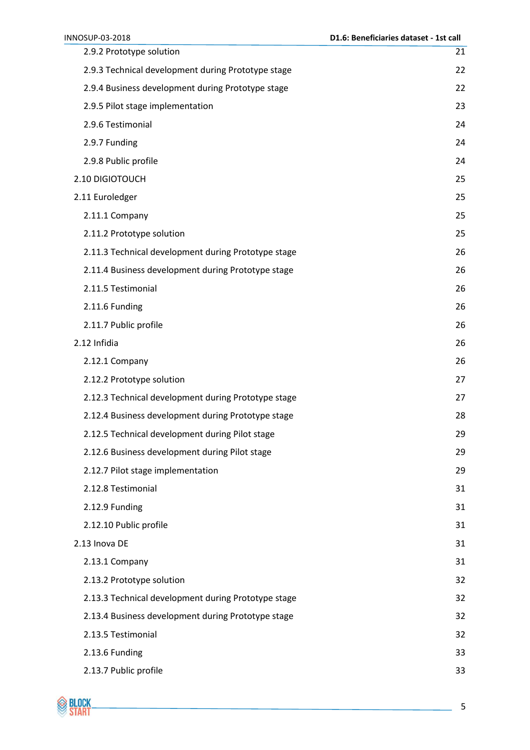| INNOSUP-03-2018                                     | D1.6: Beneficiaries dataset - 1st call |
|-----------------------------------------------------|----------------------------------------|
| 2.9.2 Prototype solution                            | 21                                     |
| 2.9.3 Technical development during Prototype stage  | 22                                     |
| 2.9.4 Business development during Prototype stage   | 22                                     |
| 2.9.5 Pilot stage implementation                    | 23                                     |
| 2.9.6 Testimonial                                   | 24                                     |
| 2.9.7 Funding                                       | 24                                     |
| 2.9.8 Public profile                                | 24                                     |
| 2.10 DIGIOTOUCH                                     | 25                                     |
| 2.11 Euroledger                                     | 25                                     |
| 2.11.1 Company                                      | 25                                     |
| 2.11.2 Prototype solution                           | 25                                     |
| 2.11.3 Technical development during Prototype stage | 26                                     |
| 2.11.4 Business development during Prototype stage  | 26                                     |
| 2.11.5 Testimonial                                  | 26                                     |
| 2.11.6 Funding                                      | 26                                     |
| 2.11.7 Public profile                               | 26                                     |
| 2.12 Infidia                                        | 26                                     |
| 2.12.1 Company                                      | 26                                     |
| 2.12.2 Prototype solution                           | 27                                     |
| 2.12.3 Technical development during Prototype stage | 27                                     |
| 2.12.4 Business development during Prototype stage  | 28                                     |
| 2.12.5 Technical development during Pilot stage     | 29                                     |
| 2.12.6 Business development during Pilot stage      | 29                                     |
| 2.12.7 Pilot stage implementation                   | 29                                     |
| 2.12.8 Testimonial                                  | 31                                     |
| 2.12.9 Funding                                      | 31                                     |
| 2.12.10 Public profile                              | 31                                     |
| 2.13 Inova DE                                       | 31                                     |
| 2.13.1 Company                                      | 31                                     |
| 2.13.2 Prototype solution                           | 32                                     |
| 2.13.3 Technical development during Prototype stage | 32                                     |
| 2.13.4 Business development during Prototype stage  | 32                                     |
| 2.13.5 Testimonial                                  | 32                                     |
| 2.13.6 Funding                                      | 33                                     |
| 2.13.7 Public profile                               | 33                                     |

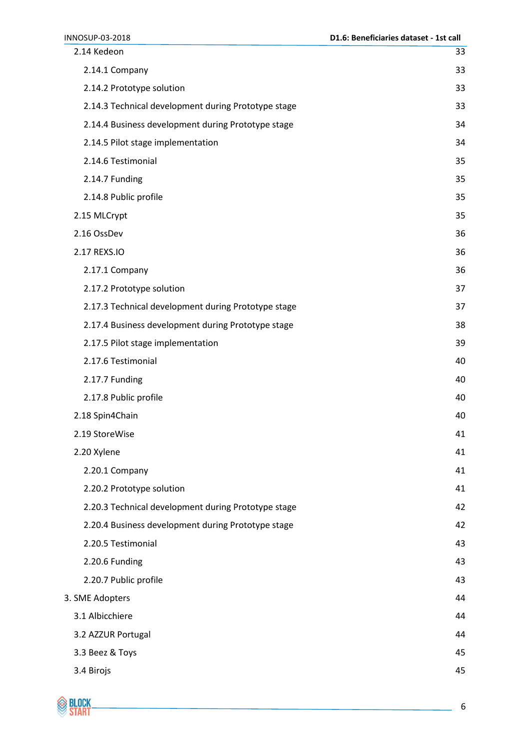INNOSUP-03-2018 **D1.6: Beneficiaries dataset - 1st call** [2.14 Kedeon](#page-32-2) 33 [2.14.1 Company](#page-32-3) 33 [2.14.2 Prototype solution](#page-32-4) 33 [2.14.3 Technical development during Prototype stage](#page-32-5) 33 [2.14.4 Business development during Prototype stage](#page-33-0) 34 [2.14.5 Pilot stage implementation](#page-33-1) 34 [2.14.6 Testimonial](#page-34-0) 35 [2.14.7 Funding](#page-34-1) 35 [2.14.8 Public profile](#page-34-2) 35 [2.15 MLCrypt](#page-34-3) 35 [2.16 OssDev](#page-35-0) 36 [2.17 REXS.IO](#page-35-1) 36 [2.17.1 Company](#page-35-2) 36 [2.17.2 Prototype solution](#page-36-0) 37 [2.17.3 Technical development during Prototype stage](#page-36-1) 37 [2.17.4 Business development during Prototype stage](#page-37-0) 38 [2.17.5 Pilot stage implementation](#page-38-0) 39 [2.17.6 Testimonial](#page-39-0) 40 [2.17.7 Funding](#page-39-1) 40 [2.17.8 Public profile](#page-39-2) 40 [2.18 Spin4Chain](#page-39-3) 40 [2.19 StoreWise](#page-40-0) 41 [2.20 Xylene](#page-40-1) 41 [2.20.1 Company](#page-40-2) 41 [2.20.2 Prototype solution](#page-40-3) 41 [2.20.3 Technical development during Prototype stage](#page-41-0) 42 [2.20.4 Business development during Prototype stage](#page-41-1) 42 [2.20.5 Testimonial](#page-42-0) 43 [2.20.6 Funding](#page-42-1) 43 [2.20.7 Public profile](#page-42-2) 43 [3. SME Adopters](#page-43-0) 44 [3.1 Albicchiere](#page-43-1) 44 [3.2 AZZUR Portugal](#page-43-2) 44 [3.3 Beez & Toys](#page-44-0) 45 [3.4 Birojs](#page-44-1) 45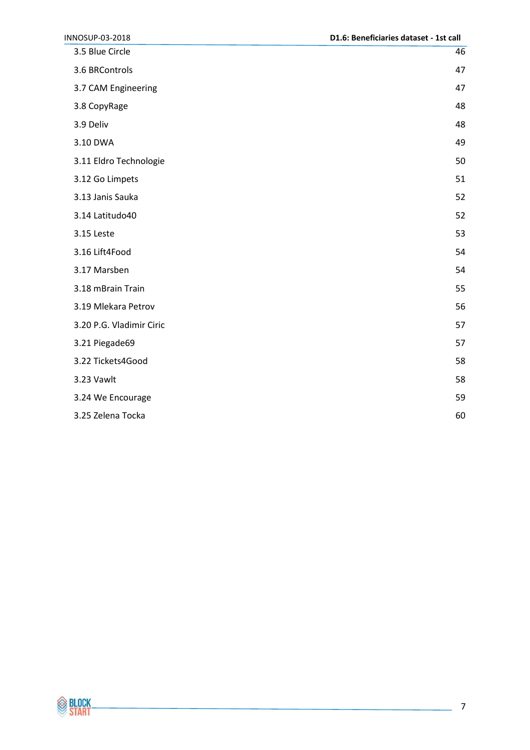| INNOSUP-03-2018          | D1.6: Beneficiaries dataset - 1st call |
|--------------------------|----------------------------------------|
| 3.5 Blue Circle          | 46                                     |
| 3.6 BRControls           | 47                                     |
| 3.7 CAM Engineering      | 47                                     |
| 3.8 CopyRage             | 48                                     |
| 3.9 Deliv                | 48                                     |
| 3.10 DWA                 | 49                                     |
| 3.11 Eldro Technologie   | 50                                     |
| 3.12 Go Limpets          | 51                                     |
| 3.13 Janis Sauka         | 52                                     |
| 3.14 Latitudo40          | 52                                     |
| 3.15 Leste               | 53                                     |
| 3.16 Lift4Food           | 54                                     |
| 3.17 Marsben             | 54                                     |
| 3.18 mBrain Train        | 55                                     |
| 3.19 Mlekara Petrov      | 56                                     |
| 3.20 P.G. Vladimir Ciric | 57                                     |
| 3.21 Piegade69           | 57                                     |
| 3.22 Tickets4Good        | 58                                     |
| 3.23 Vawlt               | 58                                     |
| 3.24 We Encourage        | 59                                     |
| 3.25 Zelena Tocka        | 60                                     |

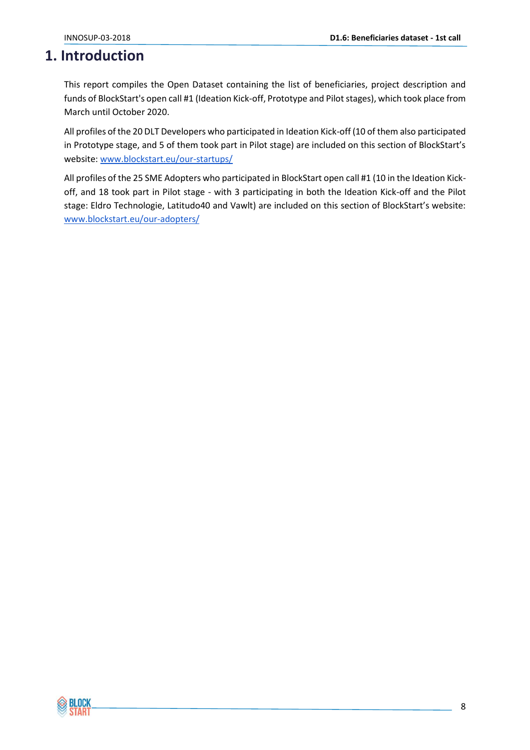# <span id="page-7-0"></span>**1. Introduction**

This report compiles the Open Dataset containing the list of beneficiaries, project description and funds of BlockStart's open call #1 (Ideation Kick-off, Prototype and Pilot stages), which took place from March until October 2020.

All profiles of the 20 DLT Developers who participated in Ideation Kick-off (10 of them also participated in Prototype stage, and 5 of them took part in Pilot stage) are included on this section of BlockStart's website[: www.blockstart.eu/our-startups/](https://www.blockstart.eu/our-startups/)

All profiles of the 25 SME Adopters who participated in BlockStart open call #1 (10 in the Ideation Kickoff, and 18 took part in Pilot stage - with 3 participating in both the Ideation Kick-off and the Pilot stage: Eldro Technologie, Latitudo40 and Vawlt) are included on this section of BlockStart's website: [www.blockstart.eu/our-adopters/](https://www.blockstart.eu/our-adopters/)

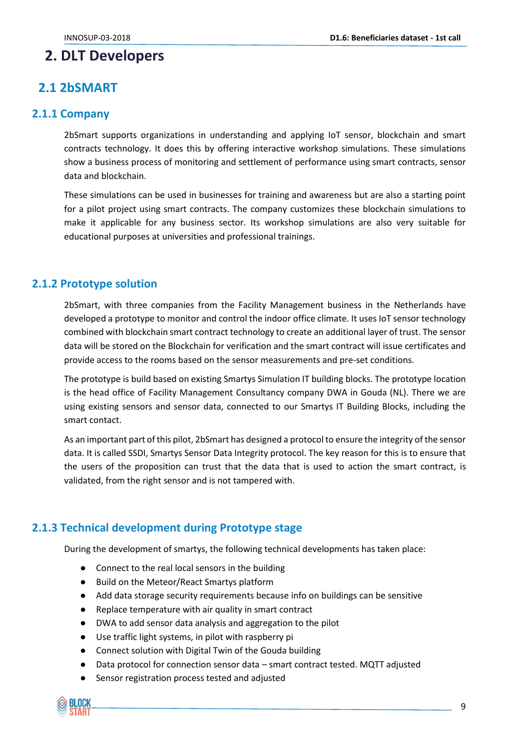# <span id="page-8-0"></span>**2. DLT Developers**

# <span id="page-8-1"></span>**2.1 2bSMART**

#### <span id="page-8-2"></span>**2.1.1 Company**

2bSmart supports organizations in understanding and applying IoT sensor, blockchain and smart contracts technology. It does this by offering interactive workshop simulations. These simulations show a business process of monitoring and settlement of performance using smart contracts, sensor data and blockchain.

These simulations can be used in businesses for training and awareness but are also a starting point for a pilot project using smart contracts. The company customizes these blockchain simulations to make it applicable for any business sector. Its workshop simulations are also very suitable for educational purposes at universities and professional trainings.

#### <span id="page-8-3"></span>**2.1.2 Prototype solution**

2bSmart, with three companies from the Facility Management business in the Netherlands have developed a prototype to monitor and control the indoor office climate. It uses IoT sensor technology combined with blockchain smart contract technology to create an additional layer of trust. The sensor data will be stored on the Blockchain for verification and the smart contract will issue certificates and provide access to the rooms based on the sensor measurements and pre-set conditions.

The prototype is build based on existing Smartys Simulation IT building blocks. The prototype location is the head office of Facility Management Consultancy company DWA in Gouda (NL). There we are using existing sensors and sensor data, connected to our Smartys IT Building Blocks, including the smart contact.

As an important part of this pilot, 2bSmart has designed a protocol to ensure the integrity of the sensor data. It is called SSDI, Smartys Sensor Data Integrity protocol. The key reason for this is to ensure that the users of the proposition can trust that the data that is used to action the smart contract, is validated, from the right sensor and is not tampered with.

## <span id="page-8-4"></span>**2.1.3 Technical development during Prototype stage**

During the development of smartys, the following technical developments has taken place:

- Connect to the real local sensors in the building
- Build on the Meteor/React Smartys platform
- Add data storage security requirements because info on buildings can be sensitive
- Replace temperature with air quality in smart contract
- DWA to add sensor data analysis and aggregation to the pilot
- Use traffic light systems, in pilot with raspberry pi
- Connect solution with Digital Twin of the Gouda building
- Data protocol for connection sensor data smart contract tested. MQTT adjusted
- Sensor registration process tested and adjusted

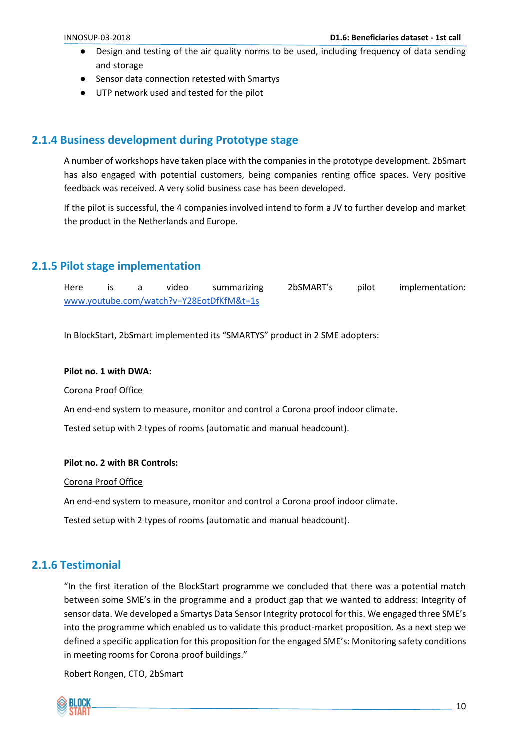- Design and testing of the air quality norms to be used, including frequency of data sending and storage
- Sensor data connection retested with Smartys
- UTP network used and tested for the pilot

#### <span id="page-9-0"></span>**2.1.4 Business development during Prototype stage**

A number of workshops have taken place with the companies in the prototype development. 2bSmart has also engaged with potential customers, being companies renting office spaces. Very positive feedback was received. A very solid business case has been developed.

If the pilot is successful, the 4 companies involved intend to form a JV to further develop and market the product in the Netherlands and Europe.

#### <span id="page-9-1"></span>**2.1.5 Pilot stage implementation**

Here is a video summarizing 2bSMART's pilot implementation: [www.youtube.com/watch?v=Y28EotDfKfM&t=1s](https://www.youtube.com/watch?v=Y28EotDfKfM&t=1s)

In BlockStart, 2bSmart implemented its "SMARTYS" product in 2 SME adopters:

#### **Pilot no. 1 with DWA:**

Corona Proof Office

An end-end system to measure, monitor and control a Corona proof indoor climate.

Tested setup with 2 types of rooms (automatic and manual headcount).

#### **Pilot no. 2 with BR Controls:**

Corona Proof Office

An end-end system to measure, monitor and control a Corona proof indoor climate.

Tested setup with 2 types of rooms (automatic and manual headcount).

## <span id="page-9-2"></span>**2.1.6 Testimonial**

"In the first iteration of the BlockStart programme we concluded that there was a potential match between some SME's in the programme and a product gap that we wanted to address: Integrity of sensor data. We developed a Smartys Data Sensor Integrity protocol for this. We engaged three SME's into the programme which enabled us to validate this product-market proposition. As a next step we defined a specific application for this proposition for the engaged SME's: Monitoring safety conditions in meeting rooms for Corona proof buildings."

Robert Rongen, CTO, 2bSmart

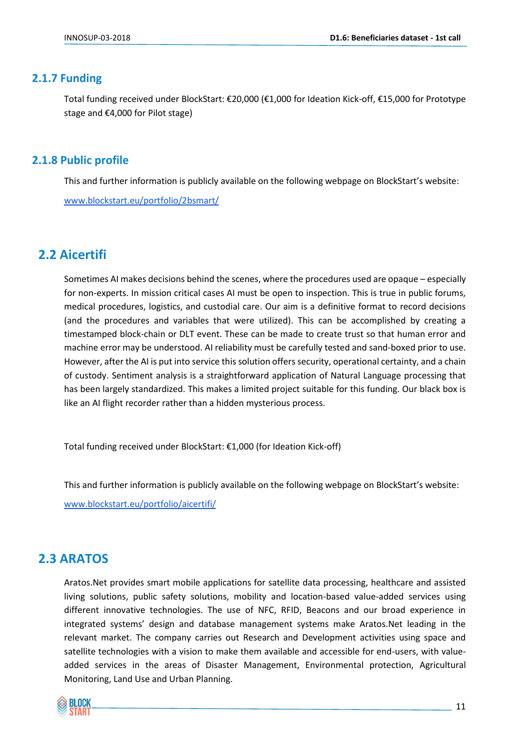#### <span id="page-10-0"></span>**2.1.7 Funding**

Total funding received under BlockStart: €20,000 (€1,000 for Ideation Kick-off, €15,000 for Prototype stage and €4,000 for Pilot stage)

#### <span id="page-10-1"></span>**2.1.8 Public profile**

This and further information is publicly available on the following webpage on BlockStart's website: [www.blockstart.eu/portfolio/2bsmart/](http://www.blockstart.eu/portfolio/2bsmart/)

# <span id="page-10-2"></span>**2.2 Aicertifi**

Sometimes AI makes decisions behind the scenes, where the procedures used are opaque – especially for non-experts. In mission critical cases AI must be open to inspection. This is true in public forums, medical procedures, logistics, and custodial care. Our aim is a definitive format to record decisions (and the procedures and variables that were utilized). This can be accomplished by creating a timestamped block-chain or DLT event. These can be made to create trust so that human error and machine error may be understood. AI reliability must be carefully tested and sand-boxed prior to use. However, after the AI is put into service this solution offers security, operational certainty, and a chain of custody. Sentiment analysis is a straightforward application of Natural Language processing that has been largely standardized. This makes a limited project suitable for this funding. Our black box is like an AI flight recorder rather than a hidden mysterious process.

Total funding received under BlockStart: €1,000 (for Ideation Kick-off)

This and further information is publicly available on the following webpage on BlockStart's website: [www.blockstart.eu/portfolio/aicertifi/](https://www.blockstart.eu/portfolio/aicertifi/)

# <span id="page-10-3"></span>**2.3 ARATOS**

Aratos.Net provides smart mobile applications for satellite data processing, healthcare and assisted living solutions, public safety solutions, mobility and location-based value-added services using different innovative technologies. The use of NFC, RFID, Beacons and our broad experience in integrated systems' design and database management systems make Aratos.Net leading in the relevant market. The company carries out Research and Development activities using space and satellite technologies with a vision to make them available and accessible for end-users, with valueadded services in the areas of Disaster Management, Environmental protection, Agricultural Monitoring, Land Use and Urban Planning.

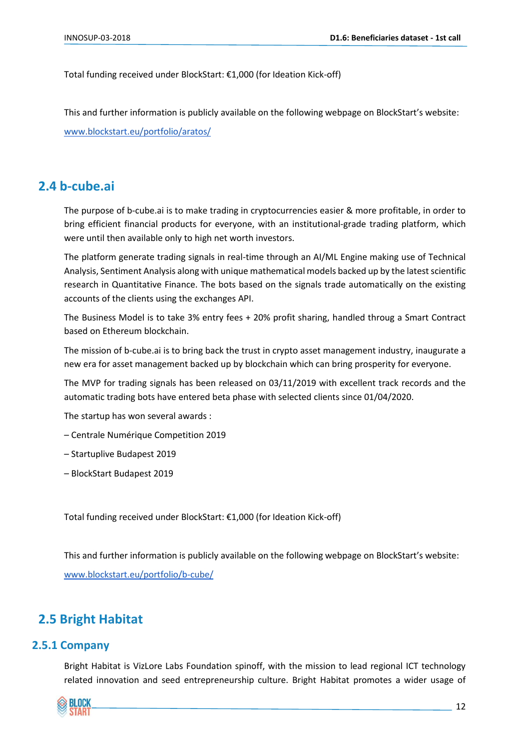Total funding received under BlockStart: €1,000 (for Ideation Kick-off)

This and further information is publicly available on the following webpage on BlockStart's website: [www.blockstart.eu/portfolio/aratos/](http://www.blockstart.eu/portfolio/aratos/)

# <span id="page-11-0"></span>**2.4 b-cube.ai**

The purpose of b-cube.ai is to make trading in cryptocurrencies easier & more profitable, in order to bring efficient financial products for everyone, with an institutional-grade trading platform, which were until then available only to high net worth investors.

The platform generate trading signals in real-time through an AI/ML Engine making use of Technical Analysis, Sentiment Analysis along with unique mathematical models backed up by the latest scientific research in Quantitative Finance. The bots based on the signals trade automatically on the existing accounts of the clients using the exchanges API.

The Business Model is to take 3% entry fees + 20% profit sharing, handled throug a Smart Contract based on Ethereum blockchain.

The mission of b-cube.ai is to bring back the trust in crypto asset management industry, inaugurate a new era for asset management backed up by blockchain which can bring prosperity for everyone.

The MVP for trading signals has been released on 03/11/2019 with excellent track records and the automatic trading bots have entered beta phase with selected clients since 01/04/2020.

The startup has won several awards :

– Centrale Numérique Competition 2019

– Startuplive Budapest 2019

– BlockStart Budapest 2019

Total funding received under BlockStart: €1,000 (for Ideation Kick-off)

This and further information is publicly available on the following webpage on BlockStart's website: [www.blockstart.eu/portfolio/b-cube/](http://www.blockstart.eu/portfolio/b-cube/)

# <span id="page-11-1"></span>**2.5 Bright Habitat**

#### <span id="page-11-2"></span>**2.5.1 Company**

Bright Habitat is VizLore Labs Foundation spinoff, with the mission to lead regional ICT technology related innovation and seed entrepreneurship culture. Bright Habitat promotes a wider usage of

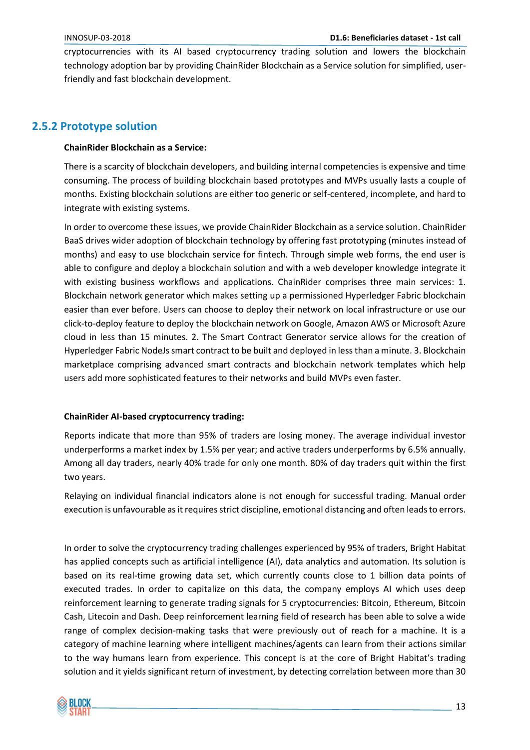cryptocurrencies with its AI based cryptocurrency trading solution and lowers the blockchain technology adoption bar by providing ChainRider Blockchain as a Service solution for simplified, userfriendly and fast blockchain development.

#### <span id="page-12-0"></span>**2.5.2 Prototype solution**

#### **ChainRider Blockchain as a Service:**

There is a scarcity of blockchain developers, and building internal competencies is expensive and time consuming. The process of building blockchain based prototypes and MVPs usually lasts a couple of months. Existing blockchain solutions are either too generic or self-centered, incomplete, and hard to integrate with existing systems.

In order to overcome these issues, we provide ChainRider Blockchain as a service solution. ChainRider BaaS drives wider adoption of blockchain technology by offering fast prototyping (minutes instead of months) and easy to use blockchain service for fintech. Through simple web forms, the end user is able to configure and deploy a blockchain solution and with a web developer knowledge integrate it with existing business workflows and applications. ChainRider comprises three main services: 1. Blockchain network generator which makes setting up a permissioned Hyperledger Fabric blockchain easier than ever before. Users can choose to deploy their network on local infrastructure or use our click-to-deploy feature to deploy the blockchain network on Google, Amazon AWS or Microsoft Azure cloud in less than 15 minutes. 2. The Smart Contract Generator service allows for the creation of Hyperledger Fabric NodeJs smart contract to be built and deployed in less than a minute. 3. Blockchain marketplace comprising advanced smart contracts and blockchain network templates which help users add more sophisticated features to their networks and build MVPs even faster.

#### **ChainRider AI-based cryptocurrency trading:**

Reports indicate that more than 95% of traders are losing money. The average individual investor underperforms a market index by 1.5% per year; and active traders underperforms by 6.5% annually. Among all day traders, nearly 40% trade for only one month. 80% of day traders quit within the first two years.

Relaying on individual financial indicators alone is not enough for successful trading. Manual order execution is unfavourable as it requires strict discipline, emotional distancing and often leads to errors.

In order to solve the cryptocurrency trading challenges experienced by 95% of traders, Bright Habitat has applied concepts such as artificial intelligence (AI), data analytics and automation. Its solution is based on its real-time growing data set, which currently counts close to 1 billion data points of executed trades. In order to capitalize on this data, the company employs AI which uses deep reinforcement learning to generate trading signals for 5 cryptocurrencies: Bitcoin, Ethereum, Bitcoin Cash, Litecoin and Dash. Deep reinforcement learning field of research has been able to solve a wide range of complex decision-making tasks that were previously out of reach for a machine. It is a category of machine learning where intelligent machines/agents can learn from their actions similar to the way humans learn from experience. This concept is at the core of Bright Habitat's trading solution and it yields significant return of investment, by detecting correlation between more than 30

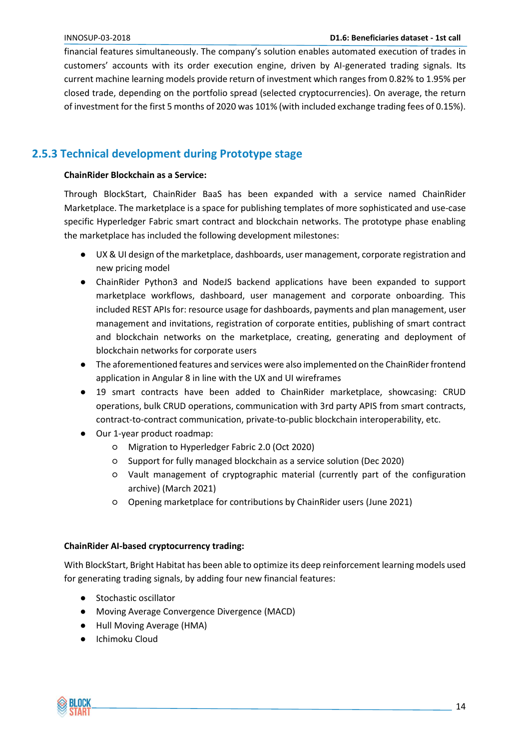financial features simultaneously. The company's solution enables automated execution of trades in customers' accounts with its order execution engine, driven by AI-generated trading signals. Its current machine learning models provide return of investment which ranges from 0.82% to 1.95% per closed trade, depending on the portfolio spread (selected cryptocurrencies). On average, the return of investment for the first 5 months of 2020 was 101% (with included exchange trading fees of 0.15%).

## <span id="page-13-0"></span>**2.5.3 Technical development during Prototype stage**

#### **ChainRider Blockchain as a Service:**

Through BlockStart, ChainRider BaaS has been expanded with a service named ChainRider Marketplace. The marketplace is a space for publishing templates of more sophisticated and use-case specific Hyperledger Fabric smart contract and blockchain networks. The prototype phase enabling the marketplace has included the following development milestones:

- UX & UI design of the marketplace, dashboards, user management, corporate registration and new pricing model
- ChainRider Python3 and NodeJS backend applications have been expanded to support marketplace workflows, dashboard, user management and corporate onboarding. This included REST APIs for: resource usage for dashboards, payments and plan management, user management and invitations, registration of corporate entities, publishing of smart contract and blockchain networks on the marketplace, creating, generating and deployment of blockchain networks for corporate users
- The aforementioned features and services were also implemented on the ChainRider frontend application in Angular 8 in line with the UX and UI wireframes
- 19 smart contracts have been added to ChainRider marketplace, showcasing: CRUD operations, bulk CRUD operations, communication with 3rd party APIS from smart contracts, contract-to-contract communication, private-to-public blockchain interoperability, etc.
- Our 1-year product roadmap:
	- Migration to Hyperledger Fabric 2.0 (Oct 2020)
	- Support for fully managed blockchain as a service solution (Dec 2020)
	- Vault management of cryptographic material (currently part of the configuration archive) (March 2021)
	- Opening marketplace for contributions by ChainRider users (June 2021)

#### **ChainRider AI-based cryptocurrency trading:**

With BlockStart, Bright Habitat has been able to optimize its deep reinforcement learning models used for generating trading signals, by adding four new financial features:

- Stochastic oscillator
- Moving Average Convergence Divergence (MACD)
- Hull Moving Average (HMA)
- Ichimoku Cloud

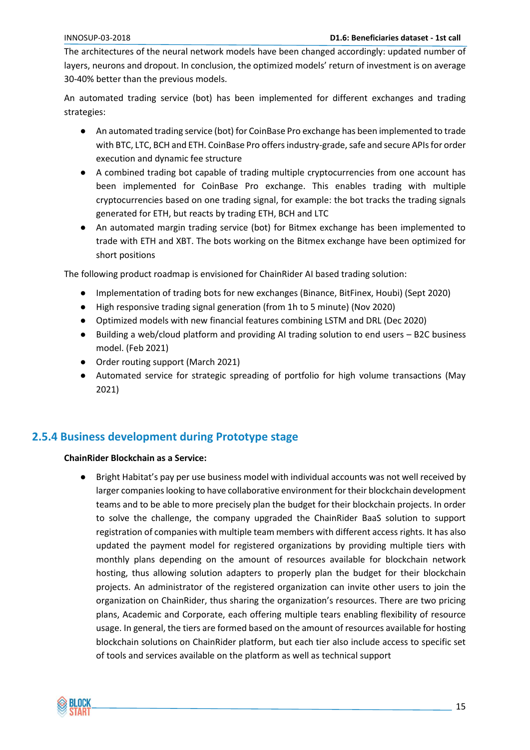The architectures of the neural network models have been changed accordingly: updated number of layers, neurons and dropout. In conclusion, the optimized models' return of investment is on average 30-40% better than the previous models.

An automated trading service (bot) has been implemented for different exchanges and trading strategies:

- An automated trading service (bot) for CoinBase Pro exchange has been implemented to trade with BTC, LTC, BCH and ETH. CoinBase Pro offers industry-grade, safe and secure APIs for order execution and dynamic fee structure
- A combined trading bot capable of trading multiple cryptocurrencies from one account has been implemented for CoinBase Pro exchange. This enables trading with multiple cryptocurrencies based on one trading signal, for example: the bot tracks the trading signals generated for ETH, but reacts by trading ETH, BCH and LTC
- An automated margin trading service (bot) for Bitmex exchange has been implemented to trade with ETH and XBT. The bots working on the Bitmex exchange have been optimized for short positions

The following product roadmap is envisioned for ChainRider AI based trading solution:

- Implementation of trading bots for new exchanges (Binance, BitFinex, Houbi) (Sept 2020)
- High responsive trading signal generation (from 1h to 5 minute) (Nov 2020)
- Optimized models with new financial features combining LSTM and DRL (Dec 2020)
- Building a web/cloud platform and providing AI trading solution to end users B2C business model. (Feb 2021)
- Order routing support (March 2021)
- Automated service for strategic spreading of portfolio for high volume transactions (May 2021)

#### <span id="page-14-0"></span>**2.5.4 Business development during Prototype stage**

#### **ChainRider Blockchain as a Service:**

Bright Habitat's pay per use business model with individual accounts was not well received by larger companies looking to have collaborative environment for their blockchain development teams and to be able to more precisely plan the budget for their blockchain projects. In order to solve the challenge, the company upgraded the ChainRider BaaS solution to support registration of companies with multiple team members with different access rights. It has also updated the payment model for registered organizations by providing multiple tiers with monthly plans depending on the amount of resources available for blockchain network hosting, thus allowing solution adapters to properly plan the budget for their blockchain projects. An administrator of the registered organization can invite other users to join the organization on ChainRider, thus sharing the organization's resources. There are two pricing plans, Academic and Corporate, each offering multiple tears enabling flexibility of resource usage. In general, the tiers are formed based on the amount of resources available for hosting blockchain solutions on ChainRider platform, but each tier also include access to specific set of tools and services available on the platform as well as technical support

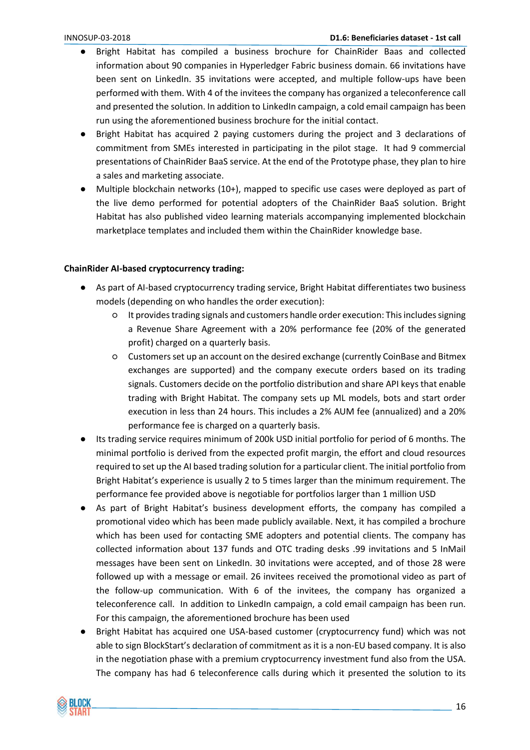- Bright Habitat has compiled a business brochure for ChainRider Baas and collected information about 90 companies in Hyperledger Fabric business domain. 66 invitations have been sent on LinkedIn. 35 invitations were accepted, and multiple follow-ups have been performed with them. With 4 of the invitees the company has organized a teleconference call and presented the solution. In addition to LinkedIn campaign, a cold email campaign has been run using the aforementioned business brochure for the initial contact.
- Bright Habitat has acquired 2 paying customers during the project and 3 declarations of commitment from SMEs interested in participating in the pilot stage. It had 9 commercial presentations of ChainRider BaaS service. At the end of the Prototype phase, they plan to hire a sales and marketing associate.
- Multiple blockchain networks (10+), mapped to specific use cases were deployed as part of the live demo performed for potential adopters of the ChainRider BaaS solution. Bright Habitat has also published video learning materials accompanying implemented blockchain marketplace templates and included them within the ChainRider knowledge base.

#### **ChainRider AI-based cryptocurrency trading:**

- As part of AI-based cryptocurrency trading service, Bright Habitat differentiates two business models (depending on who handles the order execution):
	- It provides trading signals and customers handle order execution: This includes signing a Revenue Share Agreement with a 20% performance fee (20% of the generated profit) charged on a quarterly basis.
	- Customers set up an account on the desired exchange (currently CoinBase and Bitmex exchanges are supported) and the company execute orders based on its trading signals. Customers decide on the portfolio distribution and share API keys that enable trading with Bright Habitat. The company sets up ML models, bots and start order execution in less than 24 hours. This includes a 2% AUM fee (annualized) and a 20% performance fee is charged on a quarterly basis.
- Its trading service requires minimum of 200k USD initial portfolio for period of 6 months. The minimal portfolio is derived from the expected profit margin, the effort and cloud resources required to set up the AI based trading solution for a particular client. The initial portfolio from Bright Habitat's experience is usually 2 to 5 times larger than the minimum requirement. The performance fee provided above is negotiable for portfolios larger than 1 million USD
- As part of Bright Habitat's business development efforts, the company has compiled a promotional video which has been made publicly available. Next, it has compiled a brochure which has been used for contacting SME adopters and potential clients. The company has collected information about 137 funds and OTC trading desks .99 invitations and 5 InMail messages have been sent on LinkedIn. 30 invitations were accepted, and of those 28 were followed up with a message or email. 26 invitees received the promotional video as part of the follow-up communication. With 6 of the invitees, the company has organized a teleconference call. In addition to LinkedIn campaign, a cold email campaign has been run. For this campaign, the aforementioned brochure has been used
- Bright Habitat has acquired one USA-based customer (cryptocurrency fund) which was not able to sign BlockStart's declaration of commitment as it is a non-EU based company. It is also in the negotiation phase with a premium cryptocurrency investment fund also from the USA. The company has had 6 teleconference calls during which it presented the solution to its

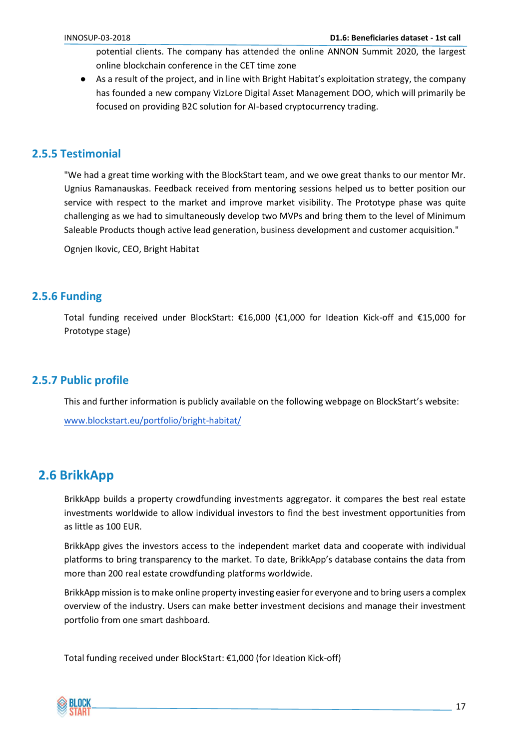potential clients. The company has attended the online ANNON Summit 2020, the largest online blockchain conference in the CET time zone

● As a result of the project, and in line with Bright Habitat's exploitation strategy, the company has founded a new company VizLore Digital Asset Management DOO, which will primarily be focused on providing B2C solution for AI-based cryptocurrency trading.

#### <span id="page-16-0"></span>**2.5.5 Testimonial**

"We had a great time working with the BlockStart team, and we owe great thanks to our mentor Mr. Ugnius Ramanauskas. Feedback received from mentoring sessions helped us to better position our service with respect to the market and improve market visibility. The Prototype phase was quite challenging as we had to simultaneously develop two MVPs and bring them to the level of Minimum Saleable Products though active lead generation, business development and customer acquisition."

Ognjen Ikovic, CEO, Bright Habitat

#### <span id="page-16-1"></span>**2.5.6 Funding**

Total funding received under BlockStart: €16,000 (€1,000 for Ideation Kick-off and €15,000 for Prototype stage)

#### <span id="page-16-2"></span>**2.5.7 Public profile**

This and further information is publicly available on the following webpage on BlockStart's website: [www.blockstart.eu/portfolio/bright-habitat/](https://www.blockstart.eu/portfolio/bright-habitat/)

## <span id="page-16-3"></span>**2.6 BrikkApp**

BrikkApp builds a property crowdfunding investments aggregator. it compares the best real estate investments worldwide to allow individual investors to find the best investment opportunities from as little as 100 EUR.

BrikkApp gives the investors access to the independent market data and cooperate with individual platforms to bring transparency to the market. To date, BrikkApp's database contains the data from more than 200 real estate crowdfunding platforms worldwide.

BrikkApp mission is to make online property investing easier for everyone and to bring users a complex overview of the industry. Users can make better investment decisions and manage their investment portfolio from one smart dashboard.

Total funding received under BlockStart: €1,000 (for Ideation Kick-off)

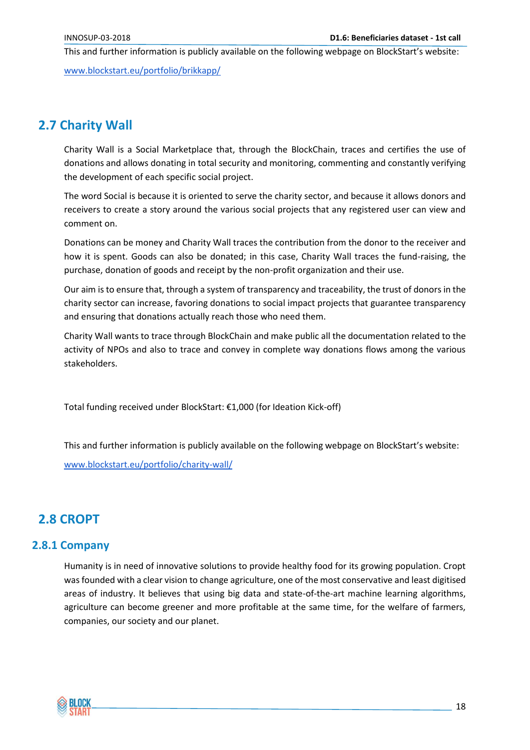This and further information is publicly available on the following webpage on BlockStart's website:

[www.blockstart.eu/portfolio/brikkapp/](http://www.blockstart.eu/portfolio/brikkapp/)

# <span id="page-17-0"></span>**2.7 Charity Wall**

Charity Wall is a Social Marketplace that, through the BlockChain, traces and certifies the use of donations and allows donating in total security and monitoring, commenting and constantly verifying the development of each specific social project.

The word Social is because it is oriented to serve the charity sector, and because it allows donors and receivers to create a story around the various social projects that any registered user can view and comment on.

Donations can be money and Charity Wall traces the contribution from the donor to the receiver and how it is spent. Goods can also be donated; in this case, Charity Wall traces the fund-raising, the purchase, donation of goods and receipt by the non-profit organization and their use.

Our aim is to ensure that, through a system of transparency and traceability, the trust of donors in the charity sector can increase, favoring donations to social impact projects that guarantee transparency and ensuring that donations actually reach those who need them.

Charity Wall wants to trace through BlockChain and make public all the documentation related to the activity of NPOs and also to trace and convey in complete way donations flows among the various stakeholders.

Total funding received under BlockStart: €1,000 (for Ideation Kick-off)

This and further information is publicly available on the following webpage on BlockStart's website: [www.blockstart.eu/portfolio/charity-wall/](https://www.blockstart.eu/portfolio/charity-wall/)

# <span id="page-17-1"></span>**2.8 CROPT**

#### <span id="page-17-2"></span>**2.8.1 Company**

Humanity is in need of innovative solutions to provide healthy food for its growing population. Cropt was founded with a clear vision to change agriculture, one of the most conservative and least digitised areas of industry. It believes that using big data and state-of-the-art machine learning algorithms, agriculture can become greener and more profitable at the same time, for the welfare of farmers, companies, our society and our planet.

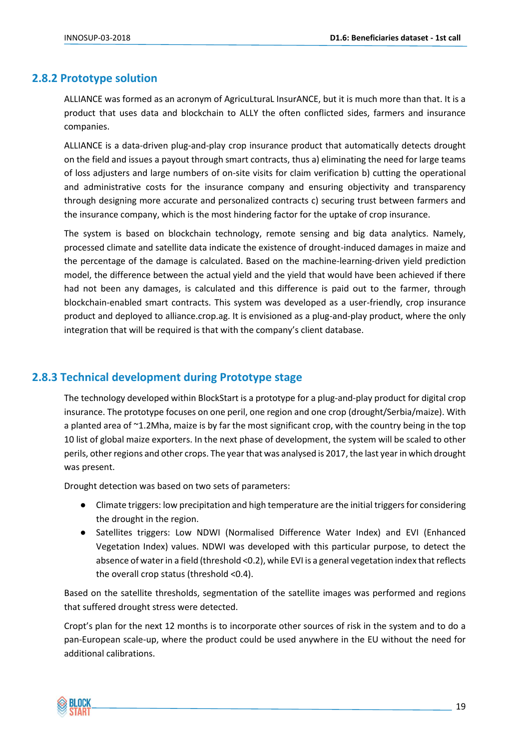#### <span id="page-18-0"></span>**2.8.2 Prototype solution**

ALLIANCE was formed as an acronym of AgricuLturaL InsurANCE, but it is much more than that. It is a product that uses data and blockchain to ALLY the often conflicted sides, farmers and insurance companies.

ALLIANCE is a data-driven plug-and-play crop insurance product that automatically detects drought on the field and issues a payout through smart contracts, thus a) eliminating the need for large teams of loss adjusters and large numbers of on-site visits for claim verification b) cutting the operational and administrative costs for the insurance company and ensuring objectivity and transparency through designing more accurate and personalized contracts c) securing trust between farmers and the insurance company, which is the most hindering factor for the uptake of crop insurance.

The system is based on blockchain technology, remote sensing and big data analytics. Namely, processed climate and satellite data indicate the existence of drought-induced damages in maize and the percentage of the damage is calculated. Based on the machine-learning-driven yield prediction model, the difference between the actual yield and the yield that would have been achieved if there had not been any damages, is calculated and this difference is paid out to the farmer, through blockchain-enabled smart contracts. This system was developed as a user-friendly, crop insurance product and deployed to alliance.crop.ag. It is envisioned as a plug-and-play product, where the only integration that will be required is that with the company's client database.

#### <span id="page-18-1"></span>**2.8.3 Technical development during Prototype stage**

The technology developed within BlockStart is a prototype for a plug-and-play product for digital crop insurance. The prototype focuses on one peril, one region and one crop (drought/Serbia/maize). With a planted area of ~1.2Mha, maize is by far the most significant crop, with the country being in the top 10 list of global maize exporters. In the next phase of development, the system will be scaled to other perils, other regions and other crops. The year that was analysed is 2017, the last year in which drought was present.

Drought detection was based on two sets of parameters:

- Climate triggers: low precipitation and high temperature are the initial triggers for considering the drought in the region.
- Satellites triggers: Low NDWI (Normalised Difference Water Index) and EVI (Enhanced Vegetation Index) values. NDWI was developed with this particular purpose, to detect the absence of water in a field (threshold <0.2), while EVI is a general vegetation index that reflects the overall crop status (threshold <0.4).

Based on the satellite thresholds, segmentation of the satellite images was performed and regions that suffered drought stress were detected.

Cropt's plan for the next 12 months is to incorporate other sources of risk in the system and to do a pan-European scale-up, where the product could be used anywhere in the EU without the need for additional calibrations.

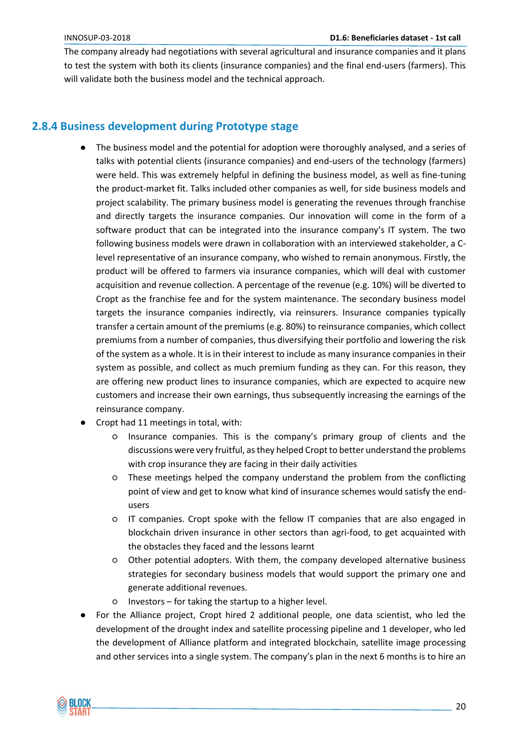The company already had negotiations with several agricultural and insurance companies and it plans to test the system with both its clients (insurance companies) and the final end-users (farmers). This will validate both the business model and the technical approach.

#### <span id="page-19-0"></span>**2.8.4 Business development during Prototype stage**

- The business model and the potential for adoption were thoroughly analysed, and a series of talks with potential clients (insurance companies) and end-users of the technology (farmers) were held. This was extremely helpful in defining the business model, as well as fine-tuning the product-market fit. Talks included other companies as well, for side business models and project scalability. The primary business model is generating the revenues through franchise and directly targets the insurance companies. Our innovation will come in the form of a software product that can be integrated into the insurance company's IT system. The two following business models were drawn in collaboration with an interviewed stakeholder, a Clevel representative of an insurance company, who wished to remain anonymous. Firstly, the product will be offered to farmers via insurance companies, which will deal with customer acquisition and revenue collection. A percentage of the revenue (e.g. 10%) will be diverted to Cropt as the franchise fee and for the system maintenance. The secondary business model targets the insurance companies indirectly, via reinsurers. Insurance companies typically transfer a certain amount of the premiums (e.g. 80%) to reinsurance companies, which collect premiums from a number of companies, thus diversifying their portfolio and lowering the risk of the system as a whole. It is in their interest to include as many insurance companies in their system as possible, and collect as much premium funding as they can. For this reason, they are offering new product lines to insurance companies, which are expected to acquire new customers and increase their own earnings, thus subsequently increasing the earnings of the reinsurance company.
- Cropt had 11 meetings in total, with:
	- Insurance companies. This is the company's primary group of clients and the discussions were very fruitful, as they helped Cropt to better understand the problems with crop insurance they are facing in their daily activities
	- These meetings helped the company understand the problem from the conflicting point of view and get to know what kind of insurance schemes would satisfy the endusers
	- IT companies. Cropt spoke with the fellow IT companies that are also engaged in blockchain driven insurance in other sectors than agri-food, to get acquainted with the obstacles they faced and the lessons learnt
	- Other potential adopters. With them, the company developed alternative business strategies for secondary business models that would support the primary one and generate additional revenues.
	- Investors for taking the startup to a higher level.
- For the Alliance project, Cropt hired 2 additional people, one data scientist, who led the development of the drought index and satellite processing pipeline and 1 developer, who led the development of Alliance platform and integrated blockchain, satellite image processing and other services into a single system. The company's plan in the next 6 months is to hire an

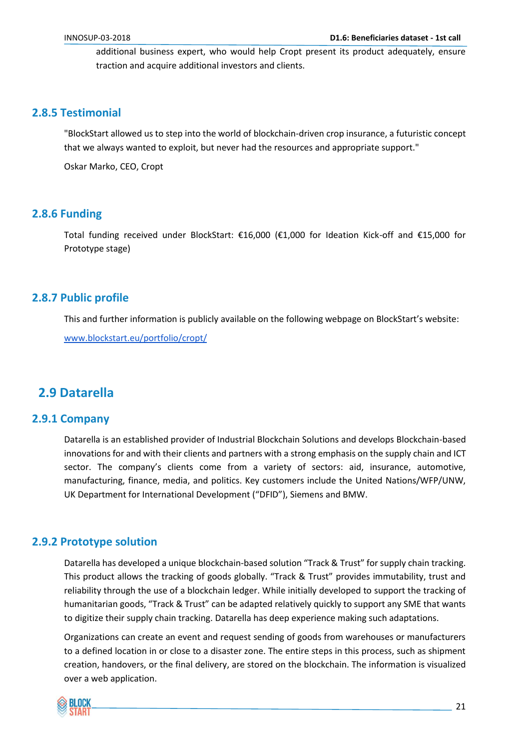additional business expert, who would help Cropt present its product adequately, ensure traction and acquire additional investors and clients.

#### <span id="page-20-0"></span>**2.8.5 Testimonial**

"BlockStart allowed us to step into the world of blockchain-driven crop insurance, a futuristic concept that we always wanted to exploit, but never had the resources and appropriate support."

Oskar Marko, CEO, Cropt

#### <span id="page-20-1"></span>**2.8.6 Funding**

Total funding received under BlockStart: €16,000 (€1,000 for Ideation Kick-off and €15,000 for Prototype stage)

#### <span id="page-20-2"></span>**2.8.7 Public profile**

This and further information is publicly available on the following webpage on BlockStart's website:

[www.blockstart.eu/portfolio/cropt/](https://www.blockstart.eu/portfolio/cropt/)

# <span id="page-20-3"></span>**2.9 Datarella**

#### <span id="page-20-4"></span>**2.9.1 Company**

Datarella is an established provider of Industrial Blockchain Solutions and develops Blockchain-based innovations for and with their clients and partners with a strong emphasis on the supply chain and ICT sector. The company's clients come from a variety of sectors: aid, insurance, automotive, manufacturing, finance, media, and politics. Key customers include the United Nations/WFP/UNW, UK Department for International Development ("DFID"), Siemens and BMW.

#### <span id="page-20-5"></span>**2.9.2 Prototype solution**

Datarella has developed a unique blockchain-based solution "Track & Trust" for supply chain tracking. This product allows the tracking of goods globally. "Track & Trust" provides immutability, trust and reliability through the use of a blockchain ledger. While initially developed to support the tracking of humanitarian goods, "Track & Trust" can be adapted relatively quickly to support any SME that wants to digitize their supply chain tracking. Datarella has deep experience making such adaptations.

Organizations can create an event and request sending of goods from warehouses or manufacturers to a defined location in or close to a disaster zone. The entire steps in this process, such as shipment creation, handovers, or the final delivery, are stored on the blockchain. The information is visualized over a web application.

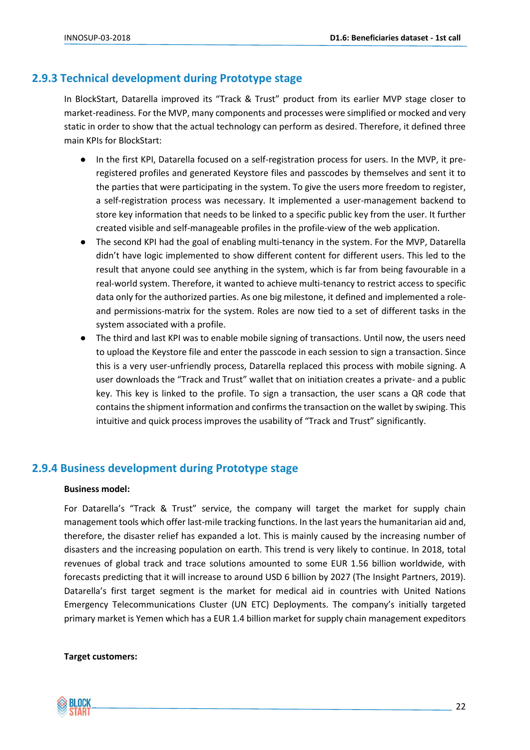#### <span id="page-21-0"></span>**2.9.3 Technical development during Prototype stage**

In BlockStart, Datarella improved its "Track & Trust" product from its earlier MVP stage closer to market-readiness. For the MVP, many components and processes were simplified or mocked and very static in order to show that the actual technology can perform as desired. Therefore, it defined three main KPIs for BlockStart:

- In the first KPI, Datarella focused on a self-registration process for users. In the MVP, it preregistered profiles and generated Keystore files and passcodes by themselves and sent it to the parties that were participating in the system. To give the users more freedom to register, a self-registration process was necessary. It implemented a user-management backend to store key information that needs to be linked to a specific public key from the user. It further created visible and self-manageable profiles in the profile-view of the web application.
- The second KPI had the goal of enabling multi-tenancy in the system. For the MVP, Datarella didn't have logic implemented to show different content for different users. This led to the result that anyone could see anything in the system, which is far from being favourable in a real-world system. Therefore, it wanted to achieve multi-tenancy to restrict access to specific data only for the authorized parties. As one big milestone, it defined and implemented a roleand permissions-matrix for the system. Roles are now tied to a set of different tasks in the system associated with a profile.
- The third and last KPI was to enable mobile signing of transactions. Until now, the users need to upload the Keystore file and enter the passcode in each session to sign a transaction. Since this is a very user-unfriendly process, Datarella replaced this process with mobile signing. A user downloads the "Track and Trust" wallet that on initiation creates a private- and a public key. This key is linked to the profile. To sign a transaction, the user scans a QR code that contains the shipment information and confirms the transaction on the wallet by swiping. This intuitive and quick process improves the usability of "Track and Trust" significantly.

#### <span id="page-21-1"></span>**2.9.4 Business development during Prototype stage**

#### **Business model:**

For Datarella's "Track & Trust" service, the company will target the market for supply chain management tools which offer last-mile tracking functions. In the last years the humanitarian aid and, therefore, the disaster relief has expanded a lot. This is mainly caused by the increasing number of disasters and the increasing population on earth. This trend is very likely to continue. In 2018, total revenues of global track and trace solutions amounted to some EUR 1.56 billion worldwide, with forecasts predicting that it will increase to around USD 6 billion by 2027 (The Insight Partners, 2019). Datarella's first target segment is the market for medical aid in countries with United Nations Emergency Telecommunications Cluster (UN ETC) Deployments. The company's initially targeted primary market is Yemen which has a EUR 1.4 billion market for supply chain management expeditors

#### **Target customers:**

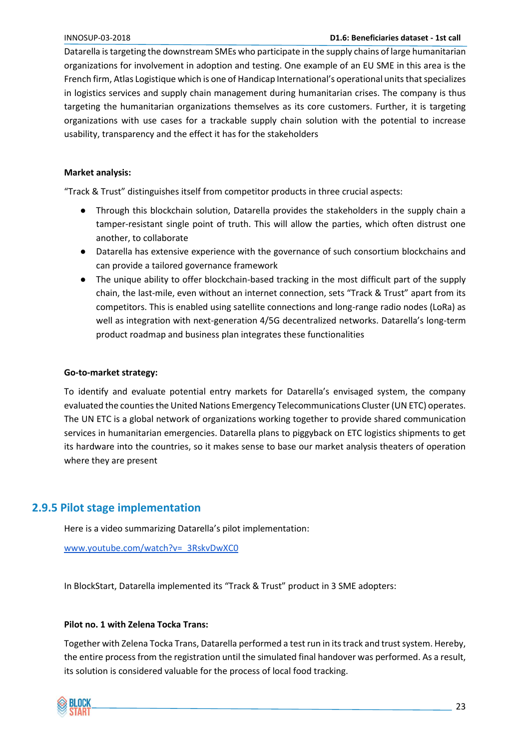Datarella is targeting the downstream SMEs who participate in the supply chains of large humanitarian organizations for involvement in adoption and testing. One example of an EU SME in this area is the French firm, Atlas Logistique which is one of Handicap International's operational units that specializes in logistics services and supply chain management during humanitarian crises. The company is thus targeting the humanitarian organizations themselves as its core customers. Further, it is targeting organizations with use cases for a trackable supply chain solution with the potential to increase usability, transparency and the effect it has for the stakeholders

#### **Market analysis:**

"Track & Trust" distinguishes itself from competitor products in three crucial aspects:

- Through this blockchain solution, Datarella provides the stakeholders in the supply chain a tamper-resistant single point of truth. This will allow the parties, which often distrust one another, to collaborate
- Datarella has extensive experience with the governance of such consortium blockchains and can provide a tailored governance framework
- The unique ability to offer blockchain-based tracking in the most difficult part of the supply chain, the last-mile, even without an internet connection, sets "Track & Trust" apart from its competitors. This is enabled using satellite connections and long-range radio nodes (LoRa) as well as integration with next-generation 4/5G decentralized networks. Datarella's long-term product roadmap and business plan integrates these functionalities

#### **Go-to-market strategy:**

To identify and evaluate potential entry markets for Datarella's envisaged system, the company evaluated the counties the United Nations Emergency Telecommunications Cluster (UN ETC) operates. The UN ETC is a global network of organizations working together to provide shared communication services in humanitarian emergencies. Datarella plans to piggyback on ETC logistics shipments to get its hardware into the countries, so it makes sense to base our market analysis theaters of operation where they are present

#### <span id="page-22-0"></span>**2.9.5 Pilot stage implementation**

Here is a video summarizing Datarella's pilot implementation:

[www.youtube.com/watch?v=\\_3RskvDwXC0](https://www.youtube.com/watch?v=_3RskvDwXC0)

In BlockStart, Datarella implemented its "Track & Trust" product in 3 SME adopters:

#### **Pilot no. 1 with Zelena Tocka Trans:**

Together with Zelena Tocka Trans, Datarella performed a test run in its track and trust system. Hereby, the entire process from the registration until the simulated final handover was performed. As a result, its solution is considered valuable for the process of local food tracking.

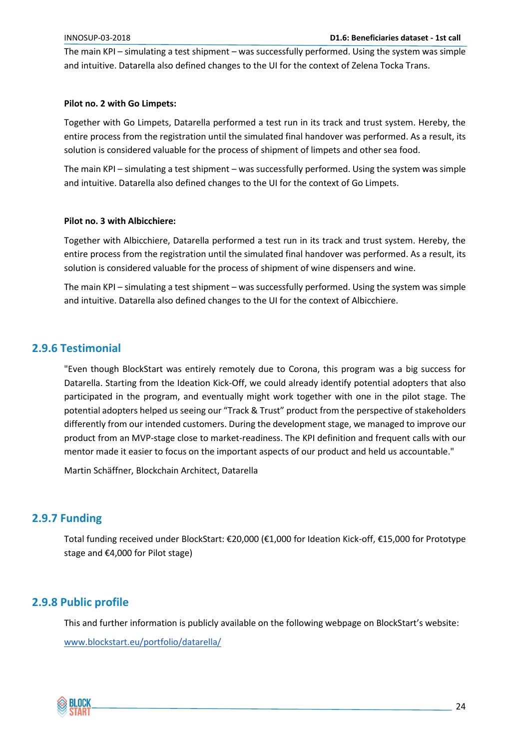The main KPI – simulating a test shipment – was successfully performed. Using the system was simple and intuitive. Datarella also defined changes to the UI for the context of Zelena Tocka Trans.

#### **Pilot no. 2 with Go Limpets:**

Together with Go Limpets, Datarella performed a test run in its track and trust system. Hereby, the entire process from the registration until the simulated final handover was performed. As a result, its solution is considered valuable for the process of shipment of limpets and other sea food.

The main KPI – simulating a test shipment – was successfully performed. Using the system was simple and intuitive. Datarella also defined changes to the UI for the context of Go Limpets.

#### **Pilot no. 3 with Albicchiere:**

Together with Albicchiere, Datarella performed a test run in its track and trust system. Hereby, the entire process from the registration until the simulated final handover was performed. As a result, its solution is considered valuable for the process of shipment of wine dispensers and wine.

The main KPI – simulating a test shipment – was successfully performed. Using the system was simple and intuitive. Datarella also defined changes to the UI for the context of Albicchiere.

#### <span id="page-23-0"></span>**2.9.6 Testimonial**

"Even though BlockStart was entirely remotely due to Corona, this program was a big success for Datarella. Starting from the Ideation Kick-Off, we could already identify potential adopters that also participated in the program, and eventually might work together with one in the pilot stage. The potential adopters helped us seeing our "Track & Trust" product from the perspective of stakeholders differently from our intended customers. During the development stage, we managed to improve our product from an MVP-stage close to market-readiness. The KPI definition and frequent calls with our mentor made it easier to focus on the important aspects of our product and held us accountable."

Martin Schäffner, Blockchain Architect, Datarella

#### <span id="page-23-1"></span>**2.9.7 Funding**

Total funding received under BlockStart: €20,000 (€1,000 for Ideation Kick-off, €15,000 for Prototype stage and €4,000 for Pilot stage)

#### <span id="page-23-2"></span>**2.9.8 Public profile**

This and further information is publicly available on the following webpage on BlockStart's website: [www.blockstart.eu/portfolio/datarella/](https://www.blockstart.eu/portfolio/datarella/)

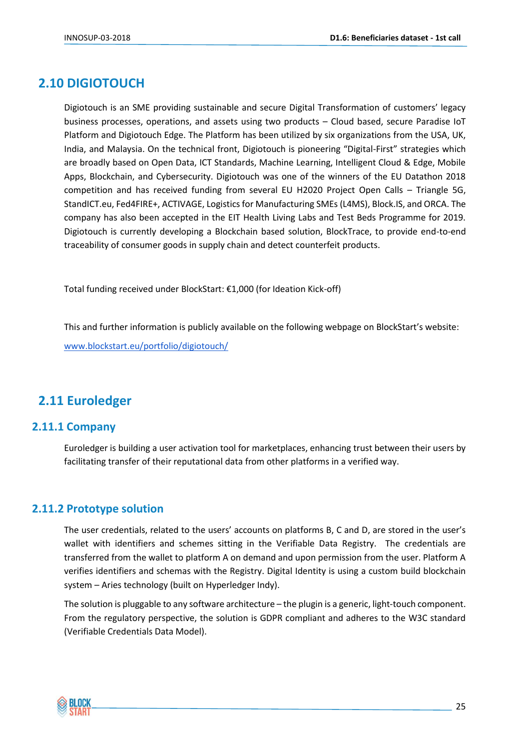# <span id="page-24-0"></span>**2.10 DIGIOTOUCH**

Digiotouch is an SME providing sustainable and secure Digital Transformation of customers' legacy business processes, operations, and assets using two products – Cloud based, secure Paradise IoT Platform and Digiotouch Edge. The Platform has been utilized by six organizations from the USA, UK, India, and Malaysia. On the technical front, Digiotouch is pioneering "Digital-First" strategies which are broadly based on Open Data, ICT Standards, Machine Learning, Intelligent Cloud & Edge, Mobile Apps, Blockchain, and Cybersecurity. Digiotouch was one of the winners of the EU Datathon 2018 competition and has received funding from several EU H2020 Project Open Calls – Triangle 5G, StandICT.eu, Fed4FIRE+, ACTIVAGE, Logistics for Manufacturing SMEs (L4MS), Block.IS, and ORCA. The company has also been accepted in the EIT Health Living Labs and Test Beds Programme for 2019. Digiotouch is currently developing a Blockchain based solution, BlockTrace, to provide end-to-end traceability of consumer goods in supply chain and detect counterfeit products.

Total funding received under BlockStart: €1,000 (for Ideation Kick-off)

This and further information is publicly available on the following webpage on BlockStart's website: [www.blockstart.eu/portfolio/digiotouch/](http://www.blockstart.eu/portfolio/digiotouch/)

# <span id="page-24-1"></span>**2.11 Euroledger**

#### <span id="page-24-2"></span>**2.11.1 Company**

Euroledger is building a user activation tool for marketplaces, enhancing trust between their users by facilitating transfer of their reputational data from other platforms in a verified way.

#### <span id="page-24-3"></span>**2.11.2 Prototype solution**

The user credentials, related to the users' accounts on platforms B, C and D, are stored in the user's wallet with identifiers and schemes sitting in the Verifiable Data Registry. The credentials are transferred from the wallet to platform A on demand and upon permission from the user. Platform A verifies identifiers and schemas with the Registry. Digital Identity is using a custom build blockchain system – Aries technology (built on Hyperledger Indy).

The solution is pluggable to any software architecture – the plugin is a generic, light-touch component. From the regulatory perspective, the solution is GDPR compliant and adheres to the W3C standard (Verifiable Credentials Data Model).

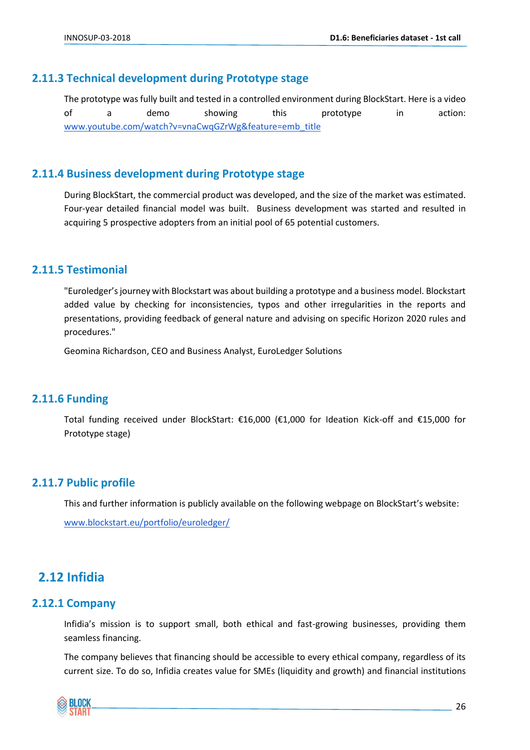#### <span id="page-25-0"></span>**2.11.3 Technical development during Prototype stage**

The prototype was fully built and tested in a controlled environment during BlockStart. Here is a video of a demo showing this prototype in action: [www.youtube.com/watch?v=vnaCwqGZrWg&feature=emb\\_title](http://www.youtube.com/watch?v=vnaCwqGZrWg&feature=emb_title)

#### <span id="page-25-1"></span>**2.11.4 Business development during Prototype stage**

During BlockStart, the commercial product was developed, and the size of the market was estimated. Four-year detailed financial model was built. Business development was started and resulted in acquiring 5 prospective adopters from an initial pool of 65 potential customers.

#### <span id="page-25-2"></span>**2.11.5 Testimonial**

"Euroledger's journey with Blockstart was about building a prototype and a business model. Blockstart added value by checking for inconsistencies, typos and other irregularities in the reports and presentations, providing feedback of general nature and advising on specific Horizon 2020 rules and procedures."

Geomina Richardson, CEO and Business Analyst, EuroLedger Solutions

#### <span id="page-25-3"></span>**2.11.6 Funding**

Total funding received under BlockStart: €16,000 (€1,000 for Ideation Kick-off and €15,000 for Prototype stage)

#### <span id="page-25-4"></span>**2.11.7 Public profile**

This and further information is publicly available on the following webpage on BlockStart's website:

[www.blockstart.eu/portfolio/euroledger/](https://www.blockstart.eu/portfolio/euroledger/)

# <span id="page-25-5"></span>**2.12 Infidia**

#### <span id="page-25-6"></span>**2.12.1 Company**

Infidia's mission is to support small, both ethical and fast-growing businesses, providing them seamless financing.

The company believes that financing should be accessible to every ethical company, regardless of its current size. To do so, Infidia creates value for SMEs (liquidity and growth) and financial institutions

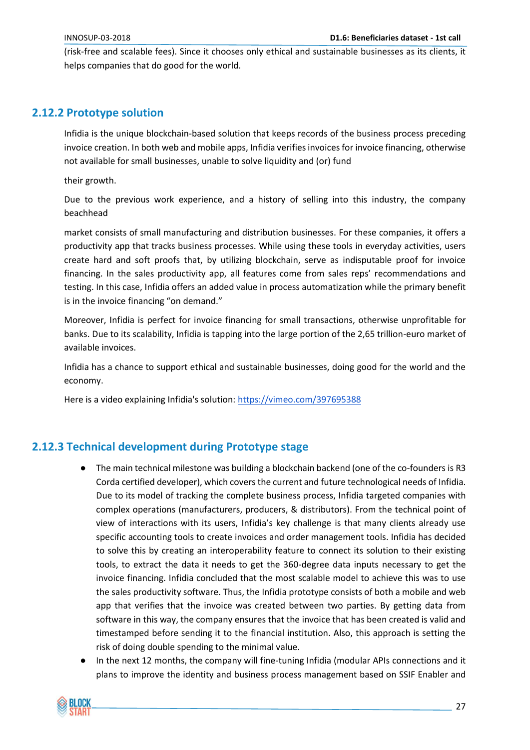(risk-free and scalable fees). Since it chooses only ethical and sustainable businesses as its clients, it helps companies that do good for the world.

#### <span id="page-26-0"></span>**2.12.2 Prototype solution**

Infidia is the unique blockchain-based solution that keeps records of the business process preceding invoice creation. In both web and mobile apps, Infidia verifies invoices for invoice financing, otherwise not available for small businesses, unable to solve liquidity and (or) fund

their growth.

Due to the previous work experience, and a history of selling into this industry, the company beachhead

market consists of small manufacturing and distribution businesses. For these companies, it offers a productivity app that tracks business processes. While using these tools in everyday activities, users create hard and soft proofs that, by utilizing blockchain, serve as indisputable proof for invoice financing. In the sales productivity app, all features come from sales reps' recommendations and testing. In this case, Infidia offers an added value in process automatization while the primary benefit is in the invoice financing "on demand."

Moreover, Infidia is perfect for invoice financing for small transactions, otherwise unprofitable for banks. Due to its scalability, Infidia is tapping into the large portion of the 2,65 trillion-euro market of available invoices.

Infidia has a chance to support ethical and sustainable businesses, doing good for the world and the economy.

Here is a video explaining Infidia's solution:<https://vimeo.com/397695388>

#### <span id="page-26-1"></span>**2.12.3 Technical development during Prototype stage**

- The main technical milestone was building a blockchain backend (one of the co-founders is R3 Corda certified developer), which covers the current and future technological needs of Infidia. Due to its model of tracking the complete business process, Infidia targeted companies with complex operations (manufacturers, producers, & distributors). From the technical point of view of interactions with its users, Infidia's key challenge is that many clients already use specific accounting tools to create invoices and order management tools. Infidia has decided to solve this by creating an interoperability feature to connect its solution to their existing tools, to extract the data it needs to get the 360-degree data inputs necessary to get the invoice financing. Infidia concluded that the most scalable model to achieve this was to use the sales productivity software. Thus, the Infidia prototype consists of both a mobile and web app that verifies that the invoice was created between two parties. By getting data from software in this way, the company ensures that the invoice that has been created is valid and timestamped before sending it to the financial institution. Also, this approach is setting the risk of doing double spending to the minimal value.
- In the next 12 months, the company will fine-tuning Infidia (modular APIs connections and it plans to improve the identity and business process management based on SSIF Enabler and

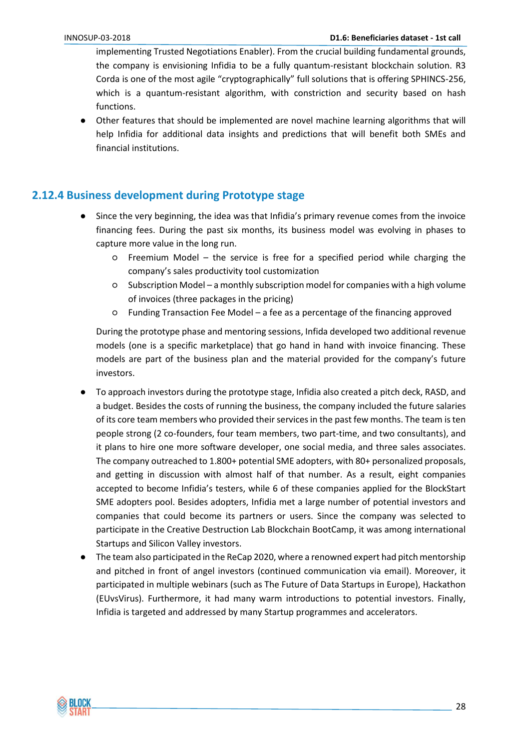implementing Trusted Negotiations Enabler). From the crucial building fundamental grounds, the company is envisioning Infidia to be a fully quantum-resistant blockchain solution. R3 Corda is one of the most agile "cryptographically" full solutions that is offering SPHINCS-256, which is a quantum-resistant algorithm, with constriction and security based on hash functions.

Other features that should be implemented are novel machine learning algorithms that will help Infidia for additional data insights and predictions that will benefit both SMEs and financial institutions.

#### <span id="page-27-0"></span>**2.12.4 Business development during Prototype stage**

- Since the very beginning, the idea was that Infidia's primary revenue comes from the invoice financing fees. During the past six months, its business model was evolving in phases to capture more value in the long run.
	- Freemium Model the service is free for a specified period while charging the company's sales productivity tool customization
	- Subscription Model a monthly subscription model for companies with a high volume of invoices (three packages in the pricing)
	- Funding Transaction Fee Model a fee as a percentage of the financing approved

During the prototype phase and mentoring sessions, Infida developed two additional revenue models (one is a specific marketplace) that go hand in hand with invoice financing. These models are part of the business plan and the material provided for the company's future investors.

- To approach investors during the prototype stage, Infidia also created a pitch deck, RASD, and a budget. Besides the costs of running the business, the company included the future salaries of its core team members who provided their services in the past few months. The team is ten people strong (2 co-founders, four team members, two part-time, and two consultants), and it plans to hire one more software developer, one social media, and three sales associates. The company outreached to 1.800+ potential SME adopters, with 80+ personalized proposals, and getting in discussion with almost half of that number. As a result, eight companies accepted to become Infidia's testers, while 6 of these companies applied for the BlockStart SME adopters pool. Besides adopters, Infidia met a large number of potential investors and companies that could become its partners or users. Since the company was selected to participate in the Creative Destruction Lab Blockchain BootCamp, it was among international Startups and Silicon Valley investors.
- The team also participated in the ReCap 2020, where a renowned expert had pitch mentorship and pitched in front of angel investors (continued communication via email). Moreover, it participated in multiple webinars (such as The Future of Data Startups in Europe), Hackathon (EUvsVirus). Furthermore, it had many warm introductions to potential investors. Finally, Infidia is targeted and addressed by many Startup programmes and accelerators.

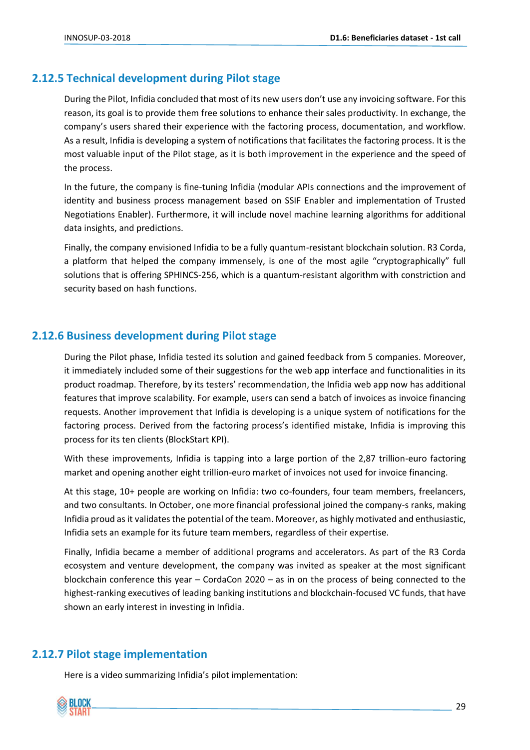#### <span id="page-28-0"></span>**2.12.5 Technical development during Pilot stage**

During the Pilot, Infidia concluded that most of its new users don't use any invoicing software. For this reason, its goal is to provide them free solutions to enhance their sales productivity. In exchange, the company's users shared their experience with the factoring process, documentation, and workflow. As a result, Infidia is developing a system of notifications that facilitates the factoring process. It is the most valuable input of the Pilot stage, as it is both improvement in the experience and the speed of the process.

In the future, the company is fine-tuning Infidia (modular APIs connections and the improvement of identity and business process management based on SSIF Enabler and implementation of Trusted Negotiations Enabler). Furthermore, it will include novel machine learning algorithms for additional data insights, and predictions.

Finally, the company envisioned Infidia to be a fully quantum-resistant blockchain solution. R3 Corda, a platform that helped the company immensely, is one of the most agile "cryptographically" full solutions that is offering SPHINCS-256, which is a quantum-resistant algorithm with constriction and security based on hash functions.

# <span id="page-28-1"></span>**2.12.6 Business development during Pilot stage**

During the Pilot phase, Infidia tested its solution and gained feedback from 5 companies. Moreover, it immediately included some of their suggestions for the web app interface and functionalities in its product roadmap. Therefore, by its testers' recommendation, the Infidia web app now has additional features that improve scalability. For example, users can send a batch of invoices as invoice financing requests. Another improvement that Infidia is developing is a unique system of notifications for the factoring process. Derived from the factoring process's identified mistake, Infidia is improving this process for its ten clients (BlockStart KPI).

With these improvements, Infidia is tapping into a large portion of the 2,87 trillion-euro factoring market and opening another eight trillion-euro market of invoices not used for invoice financing.

At this stage, 10+ people are working on Infidia: two co-founders, four team members, freelancers, and two consultants. In October, one more financial professional joined the company-s ranks, making Infidia proud as it validates the potential of the team. Moreover, as highly motivated and enthusiastic, Infidia sets an example for its future team members, regardless of their expertise.

Finally, Infidia became a member of additional programs and accelerators. As part of the R3 Corda ecosystem and venture development, the company was invited as speaker at the most significant blockchain conference this year – CordaCon 2020 – as in on the process of being connected to the highest-ranking executives of leading banking institutions and blockchain-focused VC funds, that have shown an early interest in investing in Infidia.

#### <span id="page-28-2"></span>**2.12.7 Pilot stage implementation**

Here is a video summarizing Infidia's pilot implementation:

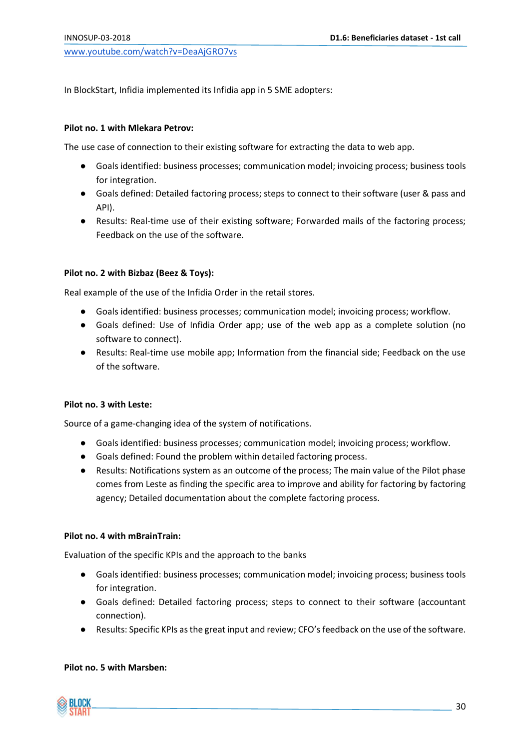[www.youtube.com/watch?v=DeaAjGRO7vs](https://www.youtube.com/watch?v=DeaAjGRO7vs)

In BlockStart, Infidia implemented its Infidia app in 5 SME adopters:

#### **Pilot no. 1 with Mlekara Petrov:**

The use case of connection to their existing software for extracting the data to web app.

- Goals identified: business processes; communication model; invoicing process; business tools for integration.
- Goals defined: Detailed factoring process; steps to connect to their software (user & pass and API).
- Results: Real-time use of their existing software; Forwarded mails of the factoring process; Feedback on the use of the software.

#### **Pilot no. 2 with Bizbaz (Beez & Toys):**

Real example of the use of the Infidia Order in the retail stores.

- Goals identified: business processes; communication model; invoicing process; workflow.
- Goals defined: Use of Infidia Order app; use of the web app as a complete solution (no software to connect).
- Results: Real-time use mobile app; Information from the financial side; Feedback on the use of the software.

#### **Pilot no. 3 with Leste:**

Source of a game-changing idea of the system of notifications.

- Goals identified: business processes; communication model; invoicing process; workflow.
- Goals defined: Found the problem within detailed factoring process.
- Results: Notifications system as an outcome of the process; The main value of the Pilot phase comes from Leste as finding the specific area to improve and ability for factoring by factoring agency; Detailed documentation about the complete factoring process.

#### **Pilot no. 4 with mBrainTrain:**

Evaluation of the specific KPIs and the approach to the banks

- Goals identified: business processes; communication model; invoicing process; business tools for integration.
- Goals defined: Detailed factoring process; steps to connect to their software (accountant connection).
- Results: Specific KPIs as the great input and review; CFO's feedback on the use of the software.

#### **Pilot no. 5 with Marsben:**

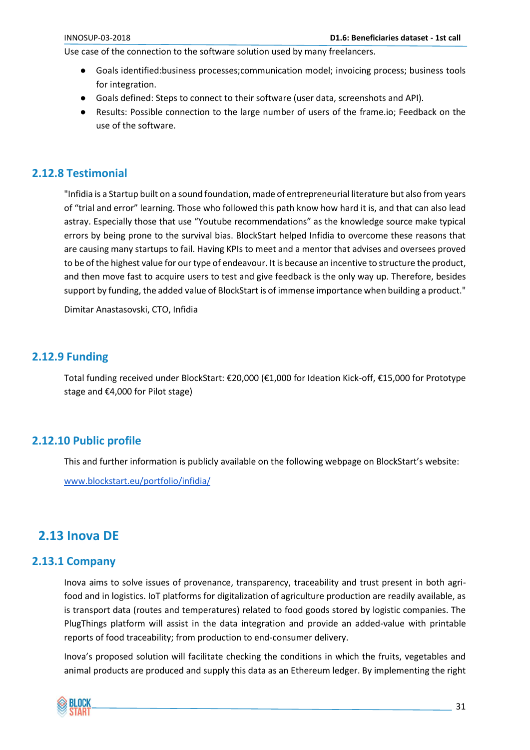Use case of the connection to the software solution used by many freelancers.

- Goals identified:business processes;communication model; invoicing process; business tools for integration.
- Goals defined: Steps to connect to their software (user data, screenshots and API).
- Results: Possible connection to the large number of users of the frame.io; Feedback on the use of the software.

#### <span id="page-30-0"></span>**2.12.8 Testimonial**

"Infidia is a Startup built on a sound foundation, made of entrepreneurial literature but also from years of "trial and error" learning. Those who followed this path know how hard it is, and that can also lead astray. Especially those that use "Youtube recommendations" as the knowledge source make typical errors by being prone to the survival bias. BlockStart helped Infidia to overcome these reasons that are causing many startups to fail. Having KPIs to meet and a mentor that advises and oversees proved to be of the highest value for our type of endeavour. It is because an incentive to structure the product, and then move fast to acquire users to test and give feedback is the only way up. Therefore, besides support by funding, the added value of BlockStart is of immense importance when building a product."

Dimitar Anastasovski, CTO, Infidia

#### <span id="page-30-1"></span>**2.12.9 Funding**

Total funding received under BlockStart: €20,000 (€1,000 for Ideation Kick-off, €15,000 for Prototype stage and €4,000 for Pilot stage)

## <span id="page-30-2"></span>**2.12.10 Public profile**

This and further information is publicly available on the following webpage on BlockStart's website:

[www.blockstart.eu/portfolio/infidia/](https://www.blockstart.eu/portfolio/infidia/)

# <span id="page-30-3"></span>**2.13 Inova DE**

#### <span id="page-30-4"></span>**2.13.1 Company**

Inova aims to solve issues of provenance, transparency, traceability and trust present in both agrifood and in logistics. IoT platforms for digitalization of agriculture production are readily available, as is transport data (routes and temperatures) related to food goods stored by logistic companies. The PlugThings platform will assist in the data integration and provide an added-value with printable reports of food traceability; from production to end-consumer delivery.

Inova's proposed solution will facilitate checking the conditions in which the fruits, vegetables and animal products are produced and supply this data as an Ethereum ledger. By implementing the right

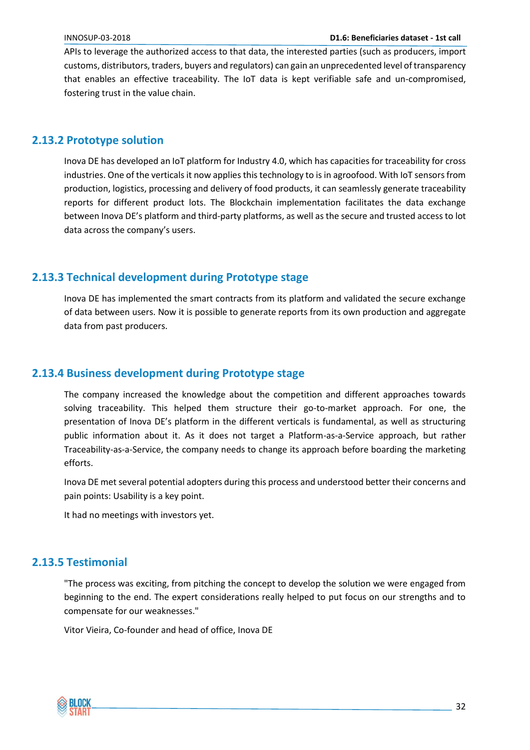APIs to leverage the authorized access to that data, the interested parties (such as producers, import customs, distributors, traders, buyers and regulators) can gain an unprecedented level of transparency that enables an effective traceability. The IoT data is kept verifiable safe and un-compromised, fostering trust in the value chain.

#### <span id="page-31-0"></span>**2.13.2 Prototype solution**

Inova DE has developed an IoT platform for Industry 4.0, which has capacities for traceability for cross industries. One of the verticals it now applies this technology to is in agroofood. With IoT sensors from production, logistics, processing and delivery of food products, it can seamlessly generate traceability reports for different product lots. The Blockchain implementation facilitates the data exchange between Inova DE's platform and third-party platforms, as well as the secure and trusted access to lot data across the company's users.

## <span id="page-31-1"></span>**2.13.3 Technical development during Prototype stage**

Inova DE has implemented the smart contracts from its platform and validated the secure exchange of data between users. Now it is possible to generate reports from its own production and aggregate data from past producers.

#### <span id="page-31-2"></span>**2.13.4 Business development during Prototype stage**

The company increased the knowledge about the competition and different approaches towards solving traceability. This helped them structure their go-to-market approach. For one, the presentation of Inova DE's platform in the different verticals is fundamental, as well as structuring public information about it. As it does not target a Platform-as-a-Service approach, but rather Traceability-as-a-Service, the company needs to change its approach before boarding the marketing efforts.

Inova DE met several potential adopters during this process and understood better their concerns and pain points: Usability is a key point.

It had no meetings with investors yet.

## <span id="page-31-3"></span>**2.13.5 Testimonial**

"The process was exciting, from pitching the concept to develop the solution we were engaged from beginning to the end. The expert considerations really helped to put focus on our strengths and to compensate for our weaknesses."

Vitor Vieira, Co-founder and head of office, Inova DE

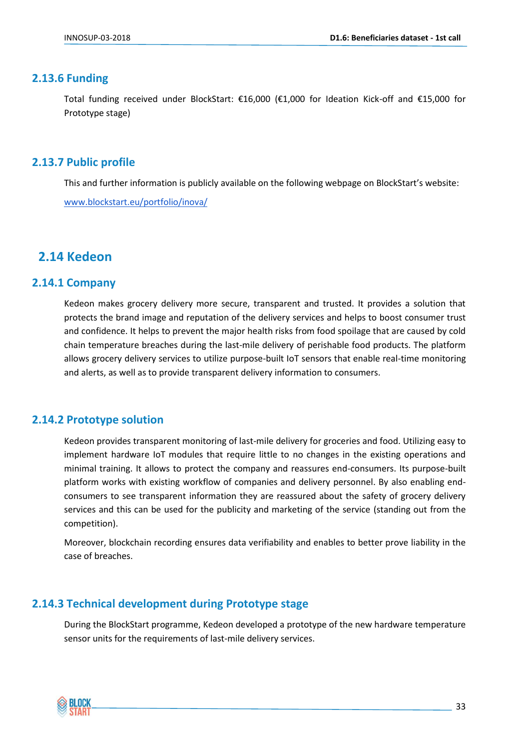#### <span id="page-32-0"></span>**2.13.6 Funding**

Total funding received under BlockStart: €16,000 (€1,000 for Ideation Kick-off and €15,000 for Prototype stage)

#### <span id="page-32-1"></span>**2.13.7 Public profile**

This and further information is publicly available on the following webpage on BlockStart's website: [www.blockstart.eu/portfolio/inova/](https://www.blockstart.eu/portfolio/inova/)

# <span id="page-32-2"></span>**2.14 Kedeon**

#### <span id="page-32-3"></span>**2.14.1 Company**

Kedeon makes grocery delivery more secure, transparent and trusted. It provides a solution that protects the brand image and reputation of the delivery services and helps to boost consumer trust and confidence. It helps to prevent the major health risks from food spoilage that are caused by cold chain temperature breaches during the last-mile delivery of perishable food products. The platform allows grocery delivery services to utilize purpose-built IoT sensors that enable real-time monitoring and alerts, as well as to provide transparent delivery information to consumers.

#### <span id="page-32-4"></span>**2.14.2 Prototype solution**

Kedeon provides transparent monitoring of last-mile delivery for groceries and food. Utilizing easy to implement hardware IoT modules that require little to no changes in the existing operations and minimal training. It allows to protect the company and reassures end-consumers. Its purpose-built platform works with existing workflow of companies and delivery personnel. By also enabling endconsumers to see transparent information they are reassured about the safety of grocery delivery services and this can be used for the publicity and marketing of the service (standing out from the competition).

Moreover, blockchain recording ensures data verifiability and enables to better prove liability in the case of breaches.

#### <span id="page-32-5"></span>**2.14.3 Technical development during Prototype stage**

During the BlockStart programme, Kedeon developed a prototype of the new hardware temperature sensor units for the requirements of last-mile delivery services.

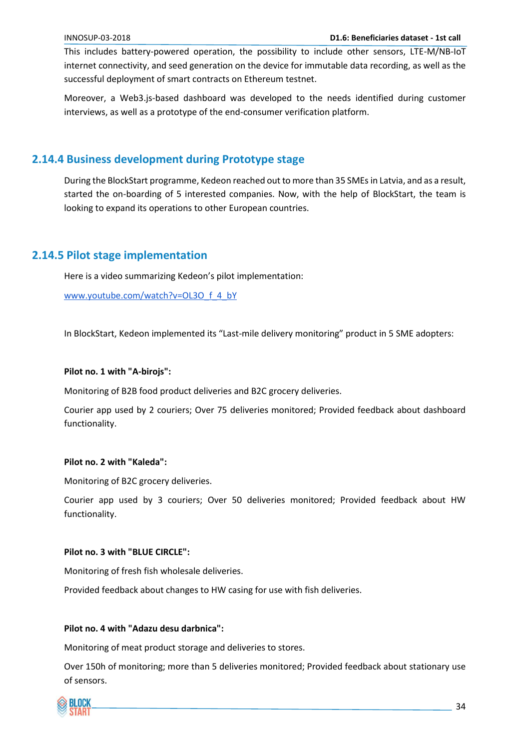This includes battery-powered operation, the possibility to include other sensors, LTE-M/NB-IoT internet connectivity, and seed generation on the device for immutable data recording, as well as the successful deployment of smart contracts on Ethereum testnet.

Moreover, a Web3.js-based dashboard was developed to the needs identified during customer interviews, as well as a prototype of the end-consumer verification platform.

#### <span id="page-33-0"></span>**2.14.4 Business development during Prototype stage**

During the BlockStart programme, Kedeon reached out to more than 35 SMEs in Latvia, and as a result, started the on-boarding of 5 interested companies. Now, with the help of BlockStart, the team is looking to expand its operations to other European countries.

#### <span id="page-33-1"></span>**2.14.5 Pilot stage implementation**

Here is a video summarizing Kedeon's pilot implementation:

[www.youtube.com/watch?v=OL3O\\_f\\_4\\_bY](https://www.youtube.com/watch?v=OL3O_f_4_bY)

In BlockStart, Kedeon implemented its "Last-mile delivery monitoring" product in 5 SME adopters:

#### **Pilot no. 1 with "A-birojs":**

Monitoring of B2B food product deliveries and B2C grocery deliveries.

Courier app used by 2 couriers; Over 75 deliveries monitored; Provided feedback about dashboard functionality.

#### **Pilot no. 2 with "Kaleda":**

Monitoring of B2C grocery deliveries.

Courier app used by 3 couriers; Over 50 deliveries monitored; Provided feedback about HW functionality.

#### **Pilot no. 3 with "BLUE CIRCLE":**

Monitoring of fresh fish wholesale deliveries.

Provided feedback about changes to HW casing for use with fish deliveries.

#### **Pilot no. 4 with "Adazu desu darbnica":**

Monitoring of meat product storage and deliveries to stores.

Over 150h of monitoring; more than 5 deliveries monitored; Provided feedback about stationary use of sensors.

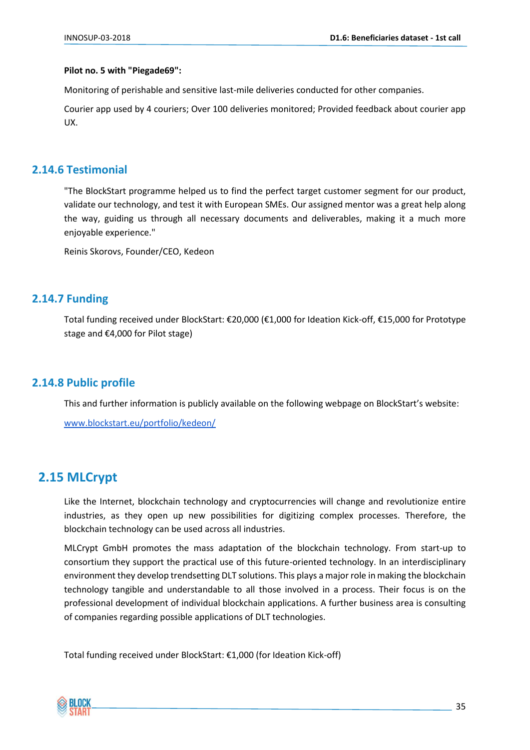#### **Pilot no. 5 with "Piegade69":**

Monitoring of perishable and sensitive last-mile deliveries conducted for other companies.

Courier app used by 4 couriers; Over 100 deliveries monitored; Provided feedback about courier app UX.

#### <span id="page-34-0"></span>**2.14.6 Testimonial**

"The BlockStart programme helped us to find the perfect target customer segment for our product, validate our technology, and test it with European SMEs. Our assigned mentor was a great help along the way, guiding us through all necessary documents and deliverables, making it a much more enjoyable experience."

Reinis Skorovs, Founder/CEO, Kedeon

#### <span id="page-34-1"></span>**2.14.7 Funding**

Total funding received under BlockStart: €20,000 (€1,000 for Ideation Kick-off, €15,000 for Prototype stage and €4,000 for Pilot stage)

#### <span id="page-34-2"></span>**2.14.8 Public profile**

This and further information is publicly available on the following webpage on BlockStart's website:

[www.blockstart.eu/portfolio/kedeon/](https://www.blockstart.eu/portfolio/kedeon/)

# <span id="page-34-3"></span>**2.15 MLCrypt**

Like the Internet, blockchain technology and cryptocurrencies will change and revolutionize entire industries, as they open up new possibilities for digitizing complex processes. Therefore, the blockchain technology can be used across all industries.

MLCrypt GmbH promotes the mass adaptation of the blockchain technology. From start-up to consortium they support the practical use of this future-oriented technology. In an interdisciplinary environment they develop trendsetting DLT solutions. This plays a major role in making the blockchain technology tangible and understandable to all those involved in a process. Their focus is on the professional development of individual blockchain applications. A further business area is consulting of companies regarding possible applications of DLT technologies.

Total funding received under BlockStart: €1,000 (for Ideation Kick-off)

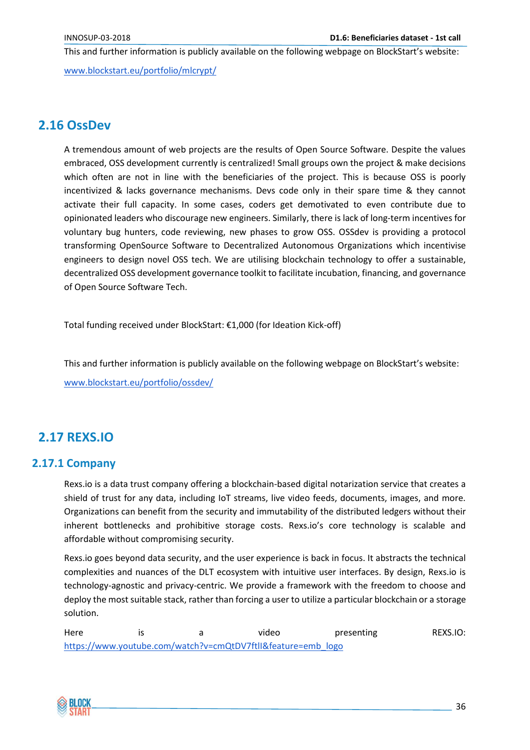This and further information is publicly available on the following webpage on BlockStart's website:

[www.blockstart.eu/portfolio/mlcrypt/](http://www.blockstart.eu/portfolio/mlcrypt/)

# <span id="page-35-0"></span>**2.16 OssDev**

A tremendous amount of web projects are the results of Open Source Software. Despite the values embraced, OSS development currently is centralized! Small groups own the project & make decisions which often are not in line with the beneficiaries of the project. This is because OSS is poorly incentivized & lacks governance mechanisms. Devs code only in their spare time & they cannot activate their full capacity. In some cases, coders get demotivated to even contribute due to opinionated leaders who discourage new engineers. Similarly, there is lack of long-term incentives for voluntary bug hunters, code reviewing, new phases to grow OSS. OSSdev is providing a protocol transforming OpenSource Software to Decentralized Autonomous Organizations which incentivise engineers to design novel OSS tech. We are utilising blockchain technology to offer a sustainable, decentralized OSS development governance toolkit to facilitate incubation, financing, and governance of Open Source Software Tech.

Total funding received under BlockStart: €1,000 (for Ideation Kick-off)

This and further information is publicly available on the following webpage on BlockStart's website:

[www.blockstart.eu/portfolio/ossdev/](http://www.blockstart.eu/portfolio/ossdev/)

# <span id="page-35-1"></span>**2.17 REXS.IO**

#### <span id="page-35-2"></span>**2.17.1 Company**

Rexs.io is a data trust company offering a blockchain-based digital notarization service that creates a shield of trust for any data, including IoT streams, live video feeds, documents, images, and more. Organizations can benefit from the security and immutability of the distributed ledgers without their inherent bottlenecks and prohibitive storage costs. Rexs.io's core technology is scalable and affordable without compromising security.

Rexs.io goes beyond data security, and the user experience is back in focus. It abstracts the technical complexities and nuances of the DLT ecosystem with intuitive user interfaces. By design, Rexs.io is technology-agnostic and privacy-centric. We provide a framework with the freedom to choose and deploy the most suitable stack, rather than forcing a user to utilize a particular blockchain or a storage solution.

Here is a video presenting REXS.IO: [https://www.youtube.com/watch?v=cmQtDV7ftlI&feature=emb\\_logo](https://www.youtube.com/watch?v=cmQtDV7ftlI&feature=emb_logo)

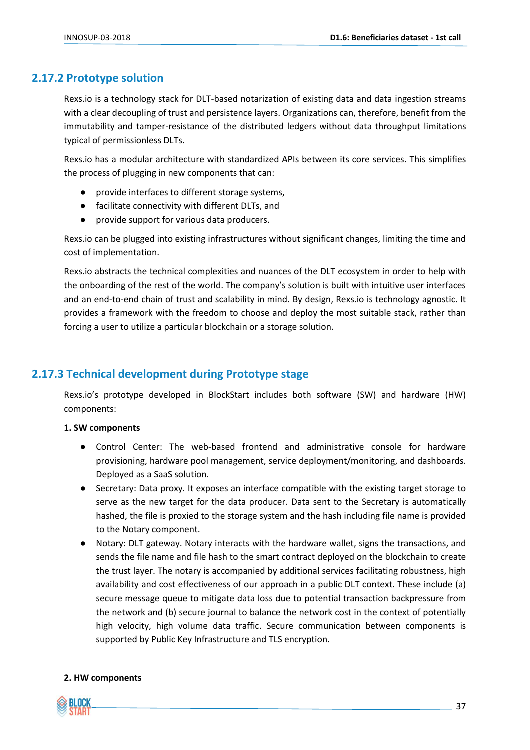#### <span id="page-36-0"></span>**2.17.2 Prototype solution**

Rexs.io is a technology stack for DLT-based notarization of existing data and data ingestion streams with a clear decoupling of trust and persistence layers. Organizations can, therefore, benefit from the immutability and tamper-resistance of the distributed ledgers without data throughput limitations typical of permissionless DLTs.

Rexs.io has a modular architecture with standardized APIs between its core services. This simplifies the process of plugging in new components that can:

- provide interfaces to different storage systems,
- facilitate connectivity with different DLTs, and
- provide support for various data producers.

Rexs.io can be plugged into existing infrastructures without significant changes, limiting the time and cost of implementation.

Rexs.io abstracts the technical complexities and nuances of the DLT ecosystem in order to help with the onboarding of the rest of the world. The company's solution is built with intuitive user interfaces and an end-to-end chain of trust and scalability in mind. By design, Rexs.io is technology agnostic. It provides a framework with the freedom to choose and deploy the most suitable stack, rather than forcing a user to utilize a particular blockchain or a storage solution.

#### <span id="page-36-1"></span>**2.17.3 Technical development during Prototype stage**

Rexs.io's prototype developed in BlockStart includes both software (SW) and hardware (HW) components:

#### **1. SW components**

- Control Center: The web-based frontend and administrative console for hardware provisioning, hardware pool management, service deployment/monitoring, and dashboards. Deployed as a SaaS solution.
- Secretary: Data proxy. It exposes an interface compatible with the existing target storage to serve as the new target for the data producer. Data sent to the Secretary is automatically hashed, the file is proxied to the storage system and the hash including file name is provided to the Notary component.
- Notary: DLT gateway. Notary interacts with the hardware wallet, signs the transactions, and sends the file name and file hash to the smart contract deployed on the blockchain to create the trust layer. The notary is accompanied by additional services facilitating robustness, high availability and cost effectiveness of our approach in a public DLT context. These include (a) secure message queue to mitigate data loss due to potential transaction backpressure from the network and (b) secure journal to balance the network cost in the context of potentially high velocity, high volume data traffic. Secure communication between components is supported by Public Key Infrastructure and TLS encryption.

#### **2. HW components**

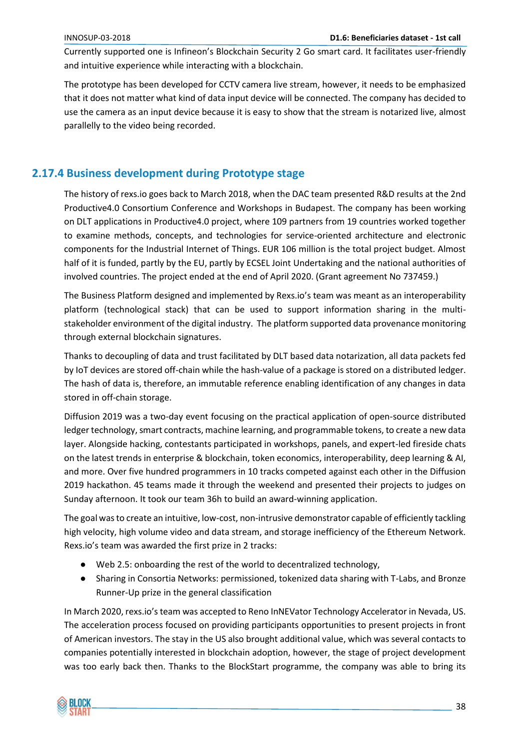Currently supported one is Infineon's Blockchain Security 2 Go smart card. It facilitates user-friendly and intuitive experience while interacting with a blockchain.

The prototype has been developed for CCTV camera live stream, however, it needs to be emphasized that it does not matter what kind of data input device will be connected. The company has decided to use the camera as an input device because it is easy to show that the stream is notarized live, almost parallelly to the video being recorded.

# <span id="page-37-0"></span>**2.17.4 Business development during Prototype stage**

The history of rexs.io goes back to March 2018, when the DAC team presented R&D results at the 2nd Productive4.0 Consortium Conference and Workshops in Budapest. The company has been working on DLT applications in Productive4.0 project, where 109 partners from 19 countries worked together to examine methods, concepts, and technologies for service-oriented architecture and electronic components for the Industrial Internet of Things. EUR 106 million is the total project budget. Almost half of it is funded, partly by the EU, partly by ECSEL Joint Undertaking and the national authorities of involved countries. The project ended at the end of April 2020. (Grant agreement No 737459.)

The Business Platform designed and implemented by Rexs.io's team was meant as an interoperability platform (technological stack) that can be used to support information sharing in the multistakeholder environment of the digital industry. The platform supported data provenance monitoring through external blockchain signatures.

Thanks to decoupling of data and trust facilitated by DLT based data notarization, all data packets fed by IoT devices are stored off-chain while the hash-value of a package is stored on a distributed ledger. The hash of data is, therefore, an immutable reference enabling identification of any changes in data stored in off-chain storage.

Diffusion 2019 was a two-day event focusing on the practical application of open-source distributed ledger technology, smart contracts, machine learning, and programmable tokens, to create a new data layer. Alongside hacking, contestants participated in workshops, panels, and expert-led fireside chats on the latest trends in enterprise & blockchain, token economics, interoperability, deep learning & AI, and more. Over five hundred programmers in 10 tracks competed against each other in the Diffusion 2019 hackathon. 45 teams made it through the weekend and presented their projects to judges on Sunday afternoon. It took our team 36h to build an award-winning application.

The goal was to create an intuitive, low-cost, non-intrusive demonstrator capable of efficiently tackling high velocity, high volume video and data stream, and storage inefficiency of the Ethereum Network. Rexs.io's team was awarded the first prize in 2 tracks:

- Web 2.5: onboarding the rest of the world to decentralized technology,
- Sharing in Consortia Networks: permissioned, tokenized data sharing with T-Labs, and Bronze Runner-Up prize in the general classification

In March 2020, rexs.io's team was accepted to Reno InNEVator Technology Accelerator in Nevada, US. The acceleration process focused on providing participants opportunities to present projects in front of American investors. The stay in the US also brought additional value, which was several contacts to companies potentially interested in blockchain adoption, however, the stage of project development was too early back then. Thanks to the BlockStart programme, the company was able to bring its

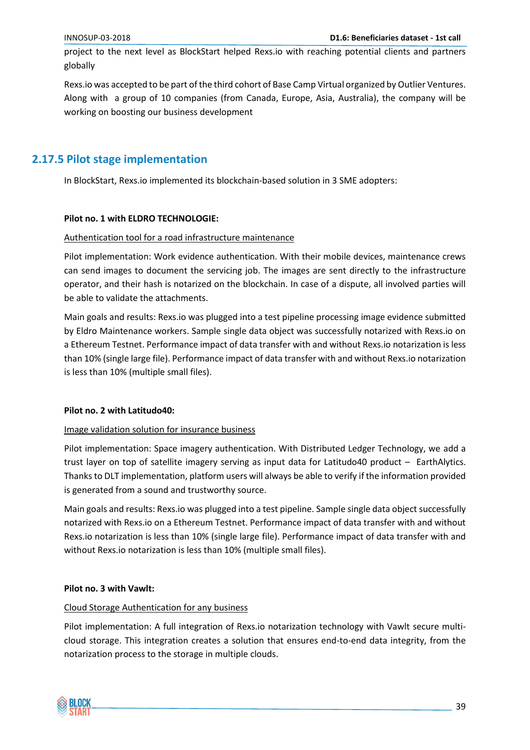project to the next level as BlockStart helped Rexs.io with reaching potential clients and partners globally

Rexs.io was accepted to be part of the third cohort of Base Camp Virtual organized by Outlier Ventures. Along with a group of 10 companies (from Canada, Europe, Asia, Australia), the company will be working on boosting our business development

#### <span id="page-38-0"></span>**2.17.5 Pilot stage implementation**

In BlockStart, Rexs.io implemented its blockchain-based solution in 3 SME adopters:

#### **Pilot no. 1 with ELDRO TECHNOLOGIE:**

#### Authentication tool for a road infrastructure maintenance

Pilot implementation: Work evidence authentication. With their mobile devices, maintenance crews can send images to document the servicing job. The images are sent directly to the infrastructure operator, and their hash is notarized on the blockchain. In case of a dispute, all involved parties will be able to validate the attachments.

Main goals and results: Rexs.io was plugged into a test pipeline processing image evidence submitted by Eldro Maintenance workers. Sample single data object was successfully notarized with Rexs.io on a Ethereum Testnet. Performance impact of data transfer with and without Rexs.io notarization is less than 10% (single large file). Performance impact of data transfer with and without Rexs.io notarization is less than 10% (multiple small files).

#### **Pilot no. 2 with Latitudo40:**

#### Image validation solution for insurance business

Pilot implementation: Space imagery authentication. With Distributed Ledger Technology, we add a trust layer on top of satellite imagery serving as input data for Latitudo40 product – EarthAlytics. Thanks to DLT implementation, platform users will always be able to verify if the information provided is generated from a sound and trustworthy source.

Main goals and results: Rexs.io was plugged into a test pipeline. Sample single data object successfully notarized with Rexs.io on a Ethereum Testnet. Performance impact of data transfer with and without Rexs.io notarization is less than 10% (single large file). Performance impact of data transfer with and without Rexs.io notarization is less than 10% (multiple small files).

#### **Pilot no. 3 with Vawlt:**

#### Cloud Storage Authentication for any business

Pilot implementation: A full integration of Rexs.io notarization technology with Vawlt secure multicloud storage. This integration creates a solution that ensures end-to-end data integrity, from the notarization process to the storage in multiple clouds.

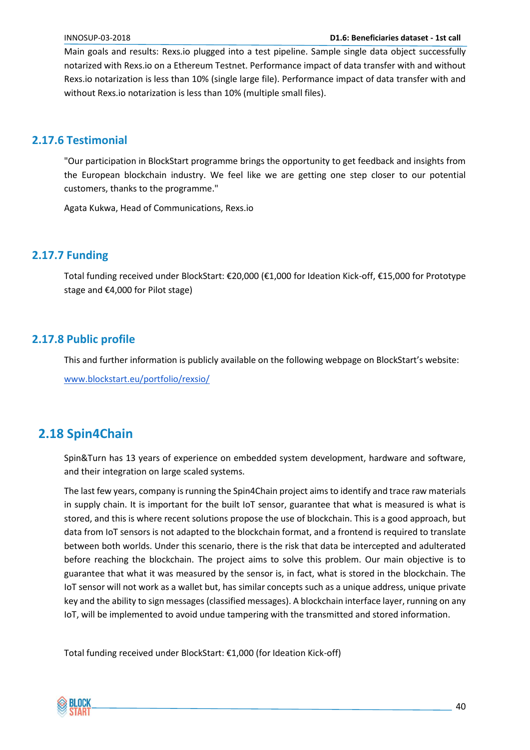Main goals and results: Rexs.io plugged into a test pipeline. Sample single data object successfully notarized with Rexs.io on a Ethereum Testnet. Performance impact of data transfer with and without Rexs.io notarization is less than 10% (single large file). Performance impact of data transfer with and without Rexs.io notarization is less than 10% (multiple small files).

#### <span id="page-39-0"></span>**2.17.6 Testimonial**

"Our participation in BlockStart programme brings the opportunity to get feedback and insights from the European blockchain industry. We feel like we are getting one step closer to our potential customers, thanks to the programme."

Agata Kukwa, Head of Communications, Rexs.io

#### <span id="page-39-1"></span>**2.17.7 Funding**

Total funding received under BlockStart: €20,000 (€1,000 for Ideation Kick-off, €15,000 for Prototype stage and €4,000 for Pilot stage)

#### <span id="page-39-2"></span>**2.17.8 Public profile**

This and further information is publicly available on the following webpage on BlockStart's website:

[www.blockstart.eu/portfolio/rexsio/](https://www.blockstart.eu/portfolio/rexsio/)

# <span id="page-39-3"></span>**2.18 Spin4Chain**

Spin&Turn has 13 years of experience on embedded system development, hardware and software, and their integration on large scaled systems.

The last few years, company is running the Spin4Chain project aims to identify and trace raw materials in supply chain. It is important for the built IoT sensor, guarantee that what is measured is what is stored, and this is where recent solutions propose the use of blockchain. This is a good approach, but data from IoT sensors is not adapted to the blockchain format, and a frontend is required to translate between both worlds. Under this scenario, there is the risk that data be intercepted and adulterated before reaching the blockchain. The project aims to solve this problem. Our main objective is to guarantee that what it was measured by the sensor is, in fact, what is stored in the blockchain. The IoT sensor will not work as a wallet but, has similar concepts such as a unique address, unique private key and the ability to sign messages (classified messages). A blockchain interface layer, running on any IoT, will be implemented to avoid undue tampering with the transmitted and stored information.

Total funding received under BlockStart: €1,000 (for Ideation Kick-off)

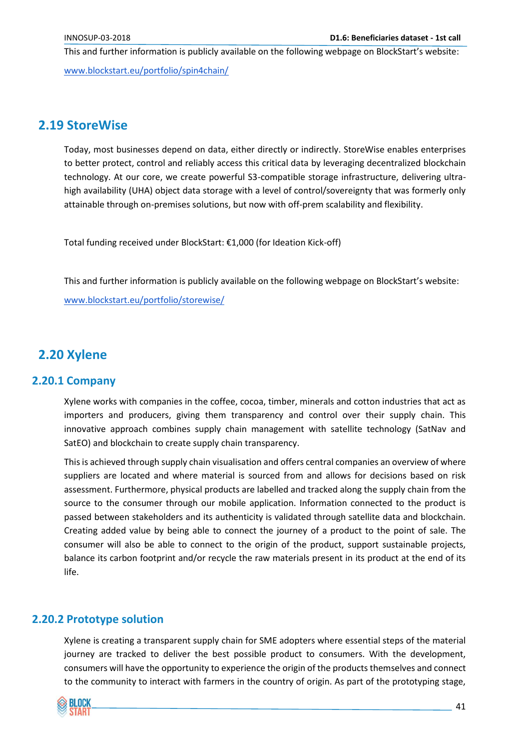This and further information is publicly available on the following webpage on BlockStart's website:

[www.blockstart.eu/portfolio/spin4chain/](http://www.blockstart.eu/portfolio/spin4chain/)

# <span id="page-40-0"></span>**2.19 StoreWise**

Today, most businesses depend on data, either directly or indirectly. StoreWise enables enterprises to better protect, control and reliably access this critical data by leveraging decentralized blockchain technology. At our core, we create powerful S3-compatible storage infrastructure, delivering ultrahigh availability (UHA) object data storage with a level of control/sovereignty that was formerly only attainable through on-premises solutions, but now with off-prem scalability and flexibility.

Total funding received under BlockStart: €1,000 (for Ideation Kick-off)

This and further information is publicly available on the following webpage on BlockStart's website:

[www.blockstart.eu/portfolio/storewise/](http://www.blockstart.eu/portfolio/storewise/)

# <span id="page-40-1"></span>**2.20 Xylene**

#### <span id="page-40-2"></span>**2.20.1 Company**

Xylene works with companies in the coffee, cocoa, timber, minerals and cotton industries that act as importers and producers, giving them transparency and control over their supply chain. This innovative approach combines supply chain management with satellite technology (SatNav and SatEO) and blockchain to create supply chain transparency.

This is achieved through supply chain visualisation and offers central companies an overview of where suppliers are located and where material is sourced from and allows for decisions based on risk assessment. Furthermore, physical products are labelled and tracked along the supply chain from the source to the consumer through our mobile application. Information connected to the product is passed between stakeholders and its authenticity is validated through satellite data and blockchain. Creating added value by being able to connect the journey of a product to the point of sale. The consumer will also be able to connect to the origin of the product, support sustainable projects, balance its carbon footprint and/or recycle the raw materials present in its product at the end of its life.

#### <span id="page-40-3"></span>**2.20.2 Prototype solution**

Xylene is creating a transparent supply chain for SME adopters where essential steps of the material journey are tracked to deliver the best possible product to consumers. With the development, consumers will have the opportunity to experience the origin of the products themselves and connect to the community to interact with farmers in the country of origin. As part of the prototyping stage,

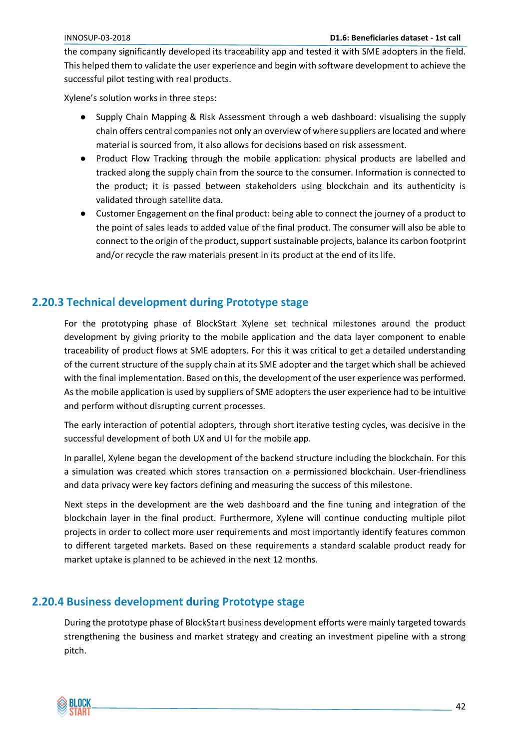the company significantly developed its traceability app and tested it with SME adopters in the field. This helped them to validate the user experience and begin with software development to achieve the successful pilot testing with real products.

Xylene's solution works in three steps:

- Supply Chain Mapping & Risk Assessment through a web dashboard: visualising the supply chain offers central companies not only an overview of where suppliers are located and where material is sourced from, it also allows for decisions based on risk assessment.
- Product Flow Tracking through the mobile application: physical products are labelled and tracked along the supply chain from the source to the consumer. Information is connected to the product; it is passed between stakeholders using blockchain and its authenticity is validated through satellite data.
- Customer Engagement on the final product: being able to connect the journey of a product to the point of sales leads to added value of the final product. The consumer will also be able to connect to the origin of the product, support sustainable projects, balance its carbon footprint and/or recycle the raw materials present in its product at the end of its life.

## <span id="page-41-0"></span>**2.20.3 Technical development during Prototype stage**

For the prototyping phase of BlockStart Xylene set technical milestones around the product development by giving priority to the mobile application and the data layer component to enable traceability of product flows at SME adopters. For this it was critical to get a detailed understanding of the current structure of the supply chain at its SME adopter and the target which shall be achieved with the final implementation. Based on this, the development of the user experience was performed. As the mobile application is used by suppliers of SME adopters the user experience had to be intuitive and perform without disrupting current processes.

The early interaction of potential adopters, through short iterative testing cycles, was decisive in the successful development of both UX and UI for the mobile app.

In parallel, Xylene began the development of the backend structure including the blockchain. For this a simulation was created which stores transaction on a permissioned blockchain. User-friendliness and data privacy were key factors defining and measuring the success of this milestone.

Next steps in the development are the web dashboard and the fine tuning and integration of the blockchain layer in the final product. Furthermore, Xylene will continue conducting multiple pilot projects in order to collect more user requirements and most importantly identify features common to different targeted markets. Based on these requirements a standard scalable product ready for market uptake is planned to be achieved in the next 12 months.

## <span id="page-41-1"></span>**2.20.4 Business development during Prototype stage**

During the prototype phase of BlockStart business development efforts were mainly targeted towards strengthening the business and market strategy and creating an investment pipeline with a strong pitch.

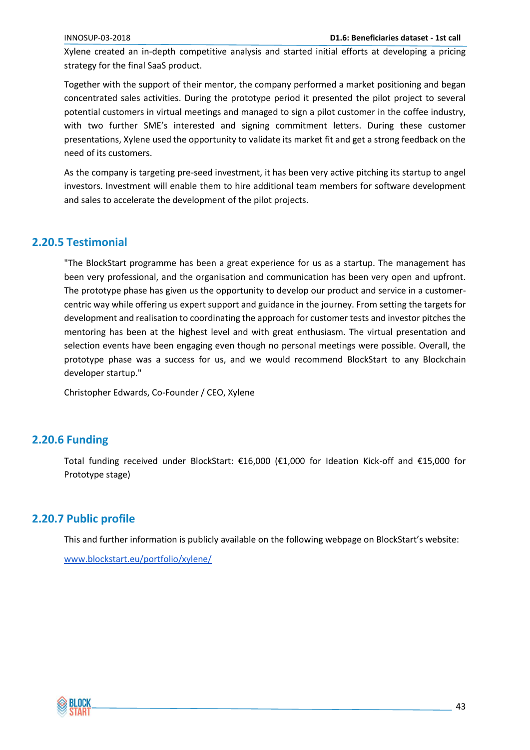Xylene created an in-depth competitive analysis and started initial efforts at developing a pricing strategy for the final SaaS product.

Together with the support of their mentor, the company performed a market positioning and began concentrated sales activities. During the prototype period it presented the pilot project to several potential customers in virtual meetings and managed to sign a pilot customer in the coffee industry, with two further SME's interested and signing commitment letters. During these customer presentations, Xylene used the opportunity to validate its market fit and get a strong feedback on the need of its customers.

As the company is targeting pre-seed investment, it has been very active pitching its startup to angel investors. Investment will enable them to hire additional team members for software development and sales to accelerate the development of the pilot projects.

#### <span id="page-42-0"></span>**2.20.5 Testimonial**

"The BlockStart programme has been a great experience for us as a startup. The management has been very professional, and the organisation and communication has been very open and upfront. The prototype phase has given us the opportunity to develop our product and service in a customercentric way while offering us expert support and guidance in the journey. From setting the targets for development and realisation to coordinating the approach for customer tests and investor pitches the mentoring has been at the highest level and with great enthusiasm. The virtual presentation and selection events have been engaging even though no personal meetings were possible. Overall, the prototype phase was a success for us, and we would recommend BlockStart to any Blockchain developer startup."

Christopher Edwards, Co-Founder / CEO, Xylene

#### <span id="page-42-1"></span>**2.20.6 Funding**

Total funding received under BlockStart: €16,000 (€1,000 for Ideation Kick-off and €15,000 for Prototype stage)

#### <span id="page-42-2"></span>**2.20.7 Public profile**

This and further information is publicly available on the following webpage on BlockStart's website:

[www.blockstart.eu/portfolio/xylene/](https://www.blockstart.eu/portfolio/xylene/)

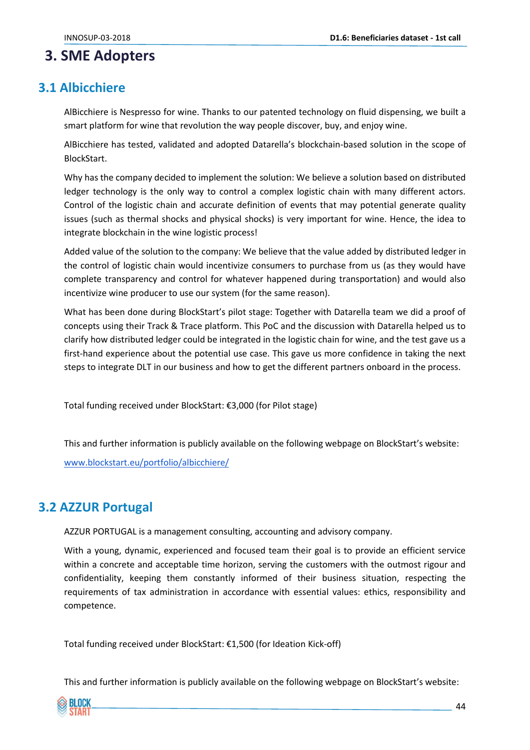# <span id="page-43-0"></span>**3. SME Adopters**

# <span id="page-43-1"></span>**3.1 Albicchiere**

AlBicchiere is Nespresso for wine. Thanks to our patented technology on fluid dispensing, we built a smart platform for wine that revolution the way people discover, buy, and enjoy wine.

AlBicchiere has tested, validated and adopted Datarella's blockchain-based solution in the scope of BlockStart.

Why has the company decided to implement the solution: We believe a solution based on distributed ledger technology is the only way to control a complex logistic chain with many different actors. Control of the logistic chain and accurate definition of events that may potential generate quality issues (such as thermal shocks and physical shocks) is very important for wine. Hence, the idea to integrate blockchain in the wine logistic process!

Added value of the solution to the company: We believe that the value added by distributed ledger in the control of logistic chain would incentivize consumers to purchase from us (as they would have complete transparency and control for whatever happened during transportation) and would also incentivize wine producer to use our system (for the same reason).

What has been done during BlockStart's pilot stage: Together with Datarella team we did a proof of concepts using their Track & Trace platform. This PoC and the discussion with Datarella helped us to clarify how distributed ledger could be integrated in the logistic chain for wine, and the test gave us a first-hand experience about the potential use case. This gave us more confidence in taking the next steps to integrate DLT in our business and how to get the different partners onboard in the process.

Total funding received under BlockStart: €3,000 (for Pilot stage)

This and further information is publicly available on the following webpage on BlockStart's website:

[www.blockstart.eu/portfolio/albicchiere/](http://www.blockstart.eu/portfolio/albicchiere/)

# <span id="page-43-2"></span>**3.2 AZZUR Portugal**

AZZUR PORTUGAL is a management consulting, accounting and advisory company.

With a young, dynamic, experienced and focused team their goal is to provide an efficient service within a concrete and acceptable time horizon, serving the customers with the outmost rigour and confidentiality, keeping them constantly informed of their business situation, respecting the requirements of tax administration in accordance with essential values: ethics, responsibility and competence.

Total funding received under BlockStart: €1,500 (for Ideation Kick-off)

This and further information is publicly available on the following webpage on BlockStart's website:

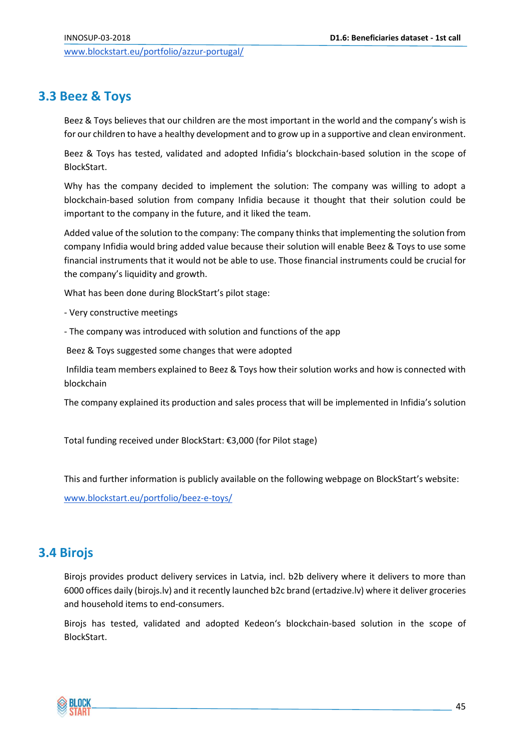# <span id="page-44-0"></span>**3.3 Beez & Toys**

Beez & Toys believes that our children are the most important in the world and the company's wish is for our children to have a healthy development and to grow up in a supportive and clean environment.

Beez & Toys has tested, validated and adopted Infidia's blockchain-based solution in the scope of BlockStart.

Why has the company decided to implement the solution: The company was willing to adopt a blockchain-based solution from company Infidia because it thought that their solution could be important to the company in the future, and it liked the team.

Added value of the solution to the company: The company thinks that implementing the solution from company Infidia would bring added value because their solution will enable Beez & Toys to use some financial instruments that it would not be able to use. Those financial instruments could be crucial for the company's liquidity and growth.

What has been done during BlockStart's pilot stage:

- Very constructive meetings
- The company was introduced with solution and functions of the app

Beez & Toys suggested some changes that were adopted

Infildia team members explained to Beez & Toys how their solution works and how is connected with blockchain

The company explained its production and sales process that will be implemented in Infidia's solution

Total funding received under BlockStart: €3,000 (for Pilot stage)

This and further information is publicly available on the following webpage on BlockStart's website:

[www.blockstart.eu/portfolio/beez-e-toys/](https://www.blockstart.eu/portfolio/beez-e-toys/)

# <span id="page-44-1"></span>**3.4 Birojs**

Birojs provides product delivery services in Latvia, incl. b2b delivery where it delivers to more than 6000 offices daily (birojs.lv) and it recently launched b2c brand (ertadzive.lv) where it deliver groceries and household items to end-consumers.

Birojs has tested, validated and adopted Kedeon's blockchain-based solution in the scope of BlockStart.

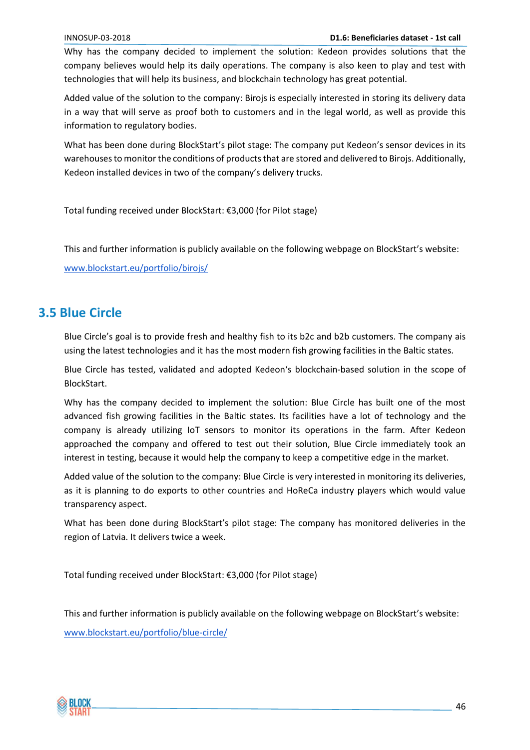Why has the company decided to implement the solution: Kedeon provides solutions that the company believes would help its daily operations. The company is also keen to play and test with technologies that will help its business, and blockchain technology has great potential.

Added value of the solution to the company: Birojs is especially interested in storing its delivery data in a way that will serve as proof both to customers and in the legal world, as well as provide this information to regulatory bodies.

What has been done during BlockStart's pilot stage: The company put Kedeon's sensor devices in its warehouses to monitor the conditions of products that are stored and delivered to Birojs. Additionally, Kedeon installed devices in two of the company's delivery trucks.

Total funding received under BlockStart: €3,000 (for Pilot stage)

This and further information is publicly available on the following webpage on BlockStart's website:

[www.blockstart.eu/portfolio/birojs/](https://www.blockstart.eu/portfolio/birojs/)

# <span id="page-45-0"></span>**3.5 Blue Circle**

Blue Circle's goal is to provide fresh and healthy fish to its b2c and b2b customers. The company ais using the latest technologies and it has the most modern fish growing facilities in the Baltic states.

Blue Circle has tested, validated and adopted Kedeon's blockchain-based solution in the scope of BlockStart.

Why has the company decided to implement the solution: Blue Circle has built one of the most advanced fish growing facilities in the Baltic states. Its facilities have a lot of technology and the company is already utilizing IoT sensors to monitor its operations in the farm. After Kedeon approached the company and offered to test out their solution, Blue Circle immediately took an interest in testing, because it would help the company to keep a competitive edge in the market.

Added value of the solution to the company: Blue Circle is very interested in monitoring its deliveries, as it is planning to do exports to other countries and HoReCa industry players which would value transparency aspect.

What has been done during BlockStart's pilot stage: The company has monitored deliveries in the region of Latvia. It delivers twice a week.

Total funding received under BlockStart: €3,000 (for Pilot stage)

This and further information is publicly available on the following webpage on BlockStart's website:

[www.blockstart.eu/portfolio/blue-circle/](https://www.blockstart.eu/portfolio/blue-circle/)

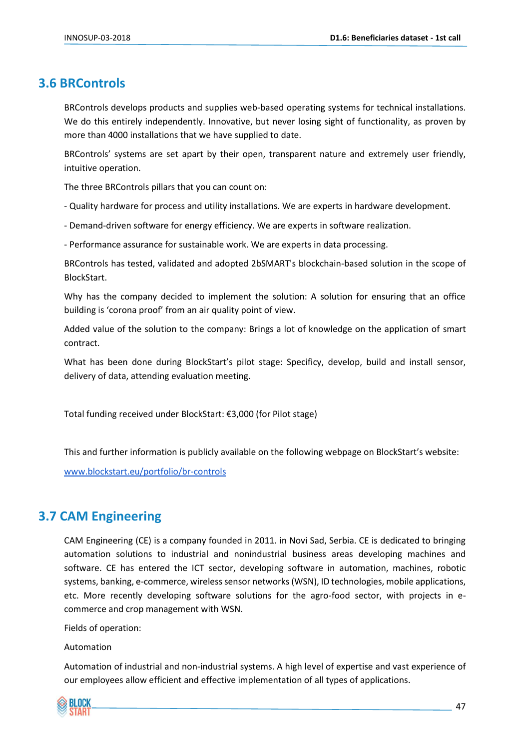# <span id="page-46-0"></span>**3.6 BRControls**

BRControls develops products and supplies web-based operating systems for technical installations. We do this entirely independently. Innovative, but never losing sight of functionality, as proven by more than 4000 installations that we have supplied to date.

BRControls' systems are set apart by their open, transparent nature and extremely user friendly, intuitive operation.

The three BRControls pillars that you can count on:

- Quality hardware for process and utility installations. We are experts in hardware development.

- Demand-driven software for energy efficiency. We are experts in software realization.

- Performance assurance for sustainable work. We are experts in data processing.

BRControls has tested, validated and adopted 2bSMART's blockchain-based solution in the scope of BlockStart.

Why has the company decided to implement the solution: A solution for ensuring that an office building is 'corona proof' from an air quality point of view.

Added value of the solution to the company: Brings a lot of knowledge on the application of smart contract.

What has been done during BlockStart's pilot stage: Specificy, develop, build and install sensor, delivery of data, attending evaluation meeting.

Total funding received under BlockStart: €3,000 (for Pilot stage)

This and further information is publicly available on the following webpage on BlockStart's website:

[www.blockstart.eu/portfolio/br-controls](http://www.blockstart.eu/portfolio/br-controls)

# <span id="page-46-1"></span>**3.7 CAM Engineering**

CAM Engineering (CE) is a company founded in 2011. in Novi Sad, Serbia. CE is dedicated to bringing automation solutions to industrial and nonindustrial business areas developing machines and software. CE has entered the ICT sector, developing software in automation, machines, robotic systems, banking, e-commerce, wireless sensor networks (WSN), ID technologies, mobile applications, etc. More recently developing software solutions for the agro-food sector, with projects in ecommerce and crop management with WSN.

Fields of operation:

Automation

Automation of industrial and non-industrial systems. A high level of expertise and vast experience of our employees allow efficient and effective implementation of all types of applications.

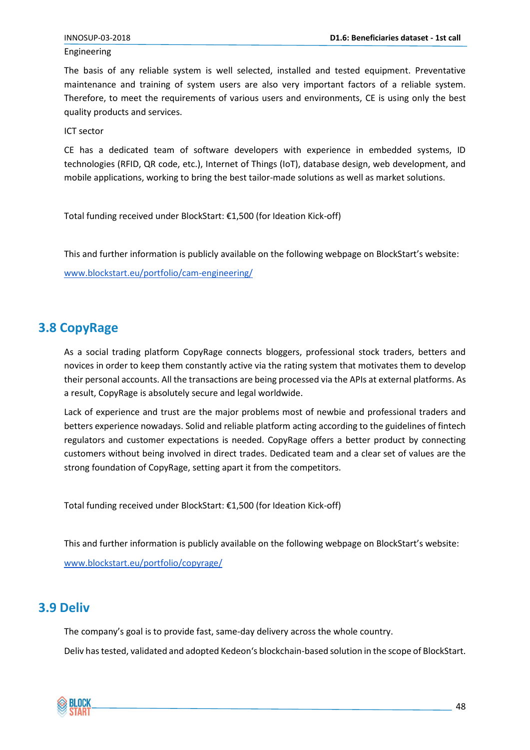#### Engineering

The basis of any reliable system is well selected, installed and tested equipment. Preventative maintenance and training of system users are also very important factors of a reliable system. Therefore, to meet the requirements of various users and environments, CE is using only the best quality products and services.

ICT sector

CE has a dedicated team of software developers with experience in embedded systems, ID technologies (RFID, QR code, etc.), Internet of Things (IoT), database design, web development, and mobile applications, working to bring the best tailor-made solutions as well as market solutions.

Total funding received under BlockStart: €1,500 (for Ideation Kick-off)

This and further information is publicly available on the following webpage on BlockStart's website:

[www.blockstart.eu/portfolio/cam-engineering/](https://www.blockstart.eu/portfolio/cam-engineering/)

# <span id="page-47-0"></span>**3.8 CopyRage**

As a social trading platform CopyRage connects bloggers, professional stock traders, betters and novices in order to keep them constantly active via the rating system that motivates them to develop their personal accounts. All the transactions are being processed via the APIs at external platforms. As a result, CopyRage is absolutely secure and legal worldwide.

Lack of experience and trust are the major problems most of newbie and professional traders and betters experience nowadays. Solid and reliable platform acting according to the guidelines of fintech regulators and customer expectations is needed. CopyRage offers a better product by connecting customers without being involved in direct trades. Dedicated team and a clear set of values are the strong foundation of CopyRage, setting apart it from the competitors.

Total funding received under BlockStart: €1,500 (for Ideation Kick-off)

This and further information is publicly available on the following webpage on BlockStart's website:

[www.blockstart.eu/portfolio/copyrage/](https://www.blockstart.eu/portfolio/copyrage/)

# <span id="page-47-1"></span>**3.9 Deliv**

The company's goal is to provide fast, same-day delivery across the whole country.

Deliv has tested, validated and adopted Kedeon's blockchain-based solution in the scope of BlockStart.

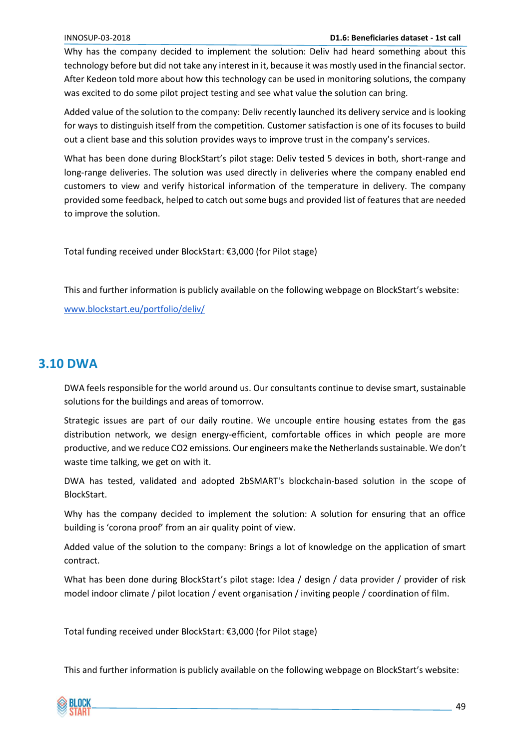#### INNOSUP-03-2018 **D1.6: Beneficiaries dataset - 1st call**

Why has the company decided to implement the solution: Deliv had heard something about this technology before but did not take any interest in it, because it was mostly used in the financial sector. After Kedeon told more about how this technology can be used in monitoring solutions, the company was excited to do some pilot project testing and see what value the solution can bring.

Added value of the solution to the company: Deliv recently launched its delivery service and is looking for ways to distinguish itself from the competition. Customer satisfaction is one of its focuses to build out a client base and this solution provides ways to improve trust in the company's services.

What has been done during BlockStart's pilot stage: Deliv tested 5 devices in both, short-range and long-range deliveries. The solution was used directly in deliveries where the company enabled end customers to view and verify historical information of the temperature in delivery. The company provided some feedback, helped to catch out some bugs and provided list of features that are needed to improve the solution.

Total funding received under BlockStart: €3,000 (for Pilot stage)

This and further information is publicly available on the following webpage on BlockStart's website:

[www.blockstart.eu/portfolio/deliv/](https://www.blockstart.eu/portfolio/deliv/)

## <span id="page-48-0"></span>**3.10 DWA**

DWA feels responsible for the world around us. Our consultants continue to devise smart, sustainable solutions for the buildings and areas of tomorrow.

Strategic issues are part of our daily routine. We uncouple entire housing estates from the gas distribution network, we design energy-efficient, comfortable offices in which people are more productive, and we reduce CO2 emissions. Our engineers make the Netherlands sustainable. We don't waste time talking, we get on with it.

DWA has tested, validated and adopted 2bSMART's blockchain-based solution in the scope of BlockStart.

Why has the company decided to implement the solution: A solution for ensuring that an office building is 'corona proof' from an air quality point of view.

Added value of the solution to the company: Brings a lot of knowledge on the application of smart contract.

What has been done during BlockStart's pilot stage: Idea / design / data provider / provider of risk model indoor climate / pilot location / event organisation / inviting people / coordination of film.

Total funding received under BlockStart: €3,000 (for Pilot stage)

This and further information is publicly available on the following webpage on BlockStart's website:

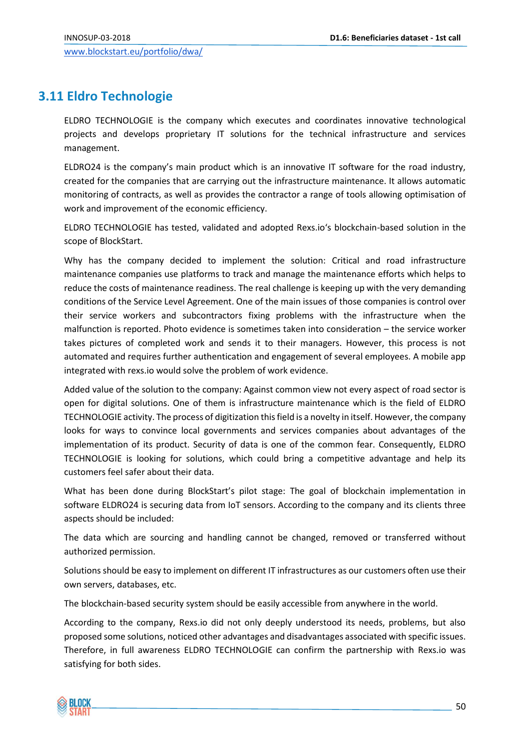# <span id="page-49-0"></span>**3.11 Eldro Technologie**

ELDRO TECHNOLOGIE is the company which executes and coordinates innovative technological projects and develops proprietary IT solutions for the technical infrastructure and services management.

ELDRO24 is the company's main product which is an innovative IT software for the road industry, created for the companies that are carrying out the infrastructure maintenance. It allows automatic monitoring of contracts, as well as provides the contractor a range of tools allowing optimisation of work and improvement of the economic efficiency.

ELDRO TECHNOLOGIE has tested, validated and adopted Rexs.io's blockchain-based solution in the scope of BlockStart.

Why has the company decided to implement the solution: Critical and road infrastructure maintenance companies use platforms to track and manage the maintenance efforts which helps to reduce the costs of maintenance readiness. The real challenge is keeping up with the very demanding conditions of the Service Level Agreement. One of the main issues of those companies is control over their service workers and subcontractors fixing problems with the infrastructure when the malfunction is reported. Photo evidence is sometimes taken into consideration – the service worker takes pictures of completed work and sends it to their managers. However, this process is not automated and requires further authentication and engagement of several employees. A mobile app integrated with rexs.io would solve the problem of work evidence.

Added value of the solution to the company: Against common view not every aspect of road sector is open for digital solutions. One of them is infrastructure maintenance which is the field of ELDRO TECHNOLOGIE activity. The process of digitization this field is a novelty in itself. However, the company looks for ways to convince local governments and services companies about advantages of the implementation of its product. Security of data is one of the common fear. Consequently, ELDRO TECHNOLOGIE is looking for solutions, which could bring a competitive advantage and help its customers feel safer about their data.

What has been done during BlockStart's pilot stage: The goal of blockchain implementation in software ELDRO24 is securing data from IoT sensors. According to the company and its clients three aspects should be included:

The data which are sourcing and handling cannot be changed, removed or transferred without authorized permission.

Solutions should be easy to implement on different IT infrastructures as our customers often use their own servers, databases, etc.

The blockchain-based security system should be easily accessible from anywhere in the world.

According to the company, Rexs.io did not only deeply understood its needs, problems, but also proposed some solutions, noticed other advantages and disadvantages associated with specific issues. Therefore, in full awareness ELDRO TECHNOLOGIE can confirm the partnership with Rexs.io was satisfying for both sides.

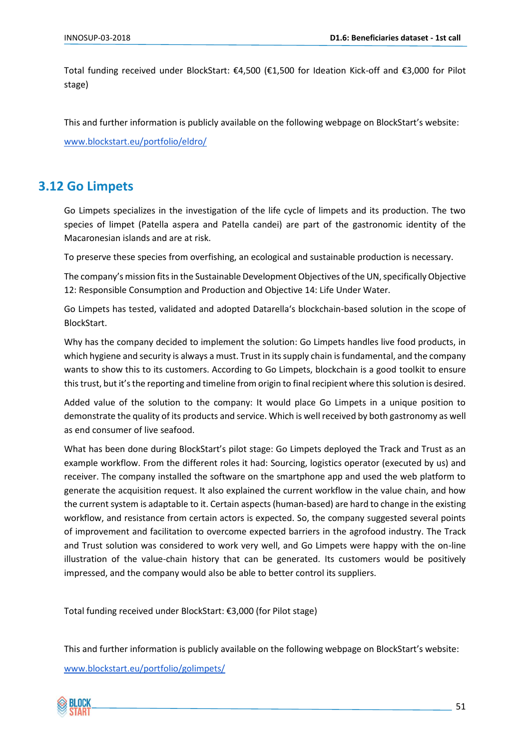Total funding received under BlockStart: €4,500 (€1,500 for Ideation Kick-off and €3,000 for Pilot stage)

This and further information is publicly available on the following webpage on BlockStart's website:

[www.blockstart.eu/portfolio/eldro/](https://www.blockstart.eu/portfolio/eldro/)

# <span id="page-50-0"></span>**3.12 Go Limpets**

Go Limpets specializes in the investigation of the life cycle of limpets and its production. The two species of limpet (Patella aspera and Patella candei) are part of the gastronomic identity of the Macaronesian islands and are at risk.

To preserve these species from overfishing, an ecological and sustainable production is necessary.

The company's mission fits in the Sustainable Development Objectives of the UN, specifically Objective 12: Responsible Consumption and Production and Objective 14: Life Under Water.

Go Limpets has tested, validated and adopted Datarella's blockchain-based solution in the scope of BlockStart.

Why has the company decided to implement the solution: Go Limpets handles live food products, in which hygiene and security is always a must. Trust in its supply chain is fundamental, and the company wants to show this to its customers. According to Go Limpets, blockchain is a good toolkit to ensure this trust, but it's the reporting and timeline from origin to final recipient where this solution is desired.

Added value of the solution to the company: It would place Go Limpets in a unique position to demonstrate the quality of its products and service. Which is well received by both gastronomy as well as end consumer of live seafood.

What has been done during BlockStart's pilot stage: Go Limpets deployed the Track and Trust as an example workflow. From the different roles it had: Sourcing, logistics operator (executed by us) and receiver. The company installed the software on the smartphone app and used the web platform to generate the acquisition request. It also explained the current workflow in the value chain, and how the current system is adaptable to it. Certain aspects (human-based) are hard to change in the existing workflow, and resistance from certain actors is expected. So, the company suggested several points of improvement and facilitation to overcome expected barriers in the agrofood industry. The Track and Trust solution was considered to work very well, and Go Limpets were happy with the on-line illustration of the value-chain history that can be generated. Its customers would be positively impressed, and the company would also be able to better control its suppliers.

Total funding received under BlockStart: €3,000 (for Pilot stage)

This and further information is publicly available on the following webpage on BlockStart's website:

[www.blockstart.eu/portfolio/golimpets/](http://www.blockstart.eu/portfolio/golimpets/)

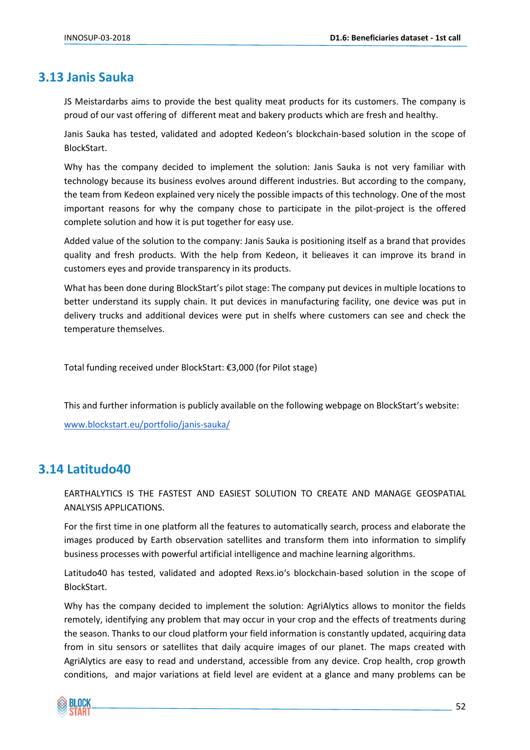# <span id="page-51-0"></span>**3.13 Janis Sauka**

JS Meistardarbs aims to provide the best quality meat products for its customers. The company is proud of our vast offering of different meat and bakery products which are fresh and healthy.

Janis Sauka has tested, validated and adopted Kedeon's blockchain-based solution in the scope of BlockStart.

Why has the company decided to implement the solution: Janis Sauka is not very familiar with technology because its business evolves around different industries. But according to the company, the team from Kedeon explained very nicely the possible impacts of this technology. One of the most important reasons for why the company chose to participate in the pilot-project is the offered complete solution and how it is put together for easy use.

Added value of the solution to the company: Janis Sauka is positioning itself as a brand that provides quality and fresh products. With the help from Kedeon, it belieaves it can improve its brand in customers eyes and provide transparency in its products.

What has been done during BlockStart's pilot stage: The company put devices in multiple locations to better understand its supply chain. It put devices in manufacturing facility, one device was put in delivery trucks and additional devices were put in shelfs where customers can see and check the temperature themselves.

Total funding received under BlockStart: €3,000 (for Pilot stage)

This and further information is publicly available on the following webpage on BlockStart's website:

[www.blockstart.eu/portfolio/janis-sauka/](http://www.blockstart.eu/portfolio/janis-sauka/)

# <span id="page-51-1"></span>**3.14 Latitudo40**

EARTHALYTICS IS THE FASTEST AND EASIEST SOLUTION TO CREATE AND MANAGE GEOSPATIAL ANALYSIS APPLICATIONS.

For the first time in one platform all the features to automatically search, process and elaborate the images produced by Earth observation satellites and transform them into information to simplify business processes with powerful artificial intelligence and machine learning algorithms.

Latitudo40 has tested, validated and adopted Rexs.io's blockchain-based solution in the scope of BlockStart.

Why has the company decided to implement the solution: AgriAlytics allows to monitor the fields remotely, identifying any problem that may occur in your crop and the effects of treatments during the season. Thanks to our cloud platform your field information is constantly updated, acquiring data from in situ sensors or satellites that daily acquire images of our planet. The maps created with AgriAlytics are easy to read and understand, accessible from any device. Crop health, crop growth conditions, and major variations at field level are evident at a glance and many problems can be

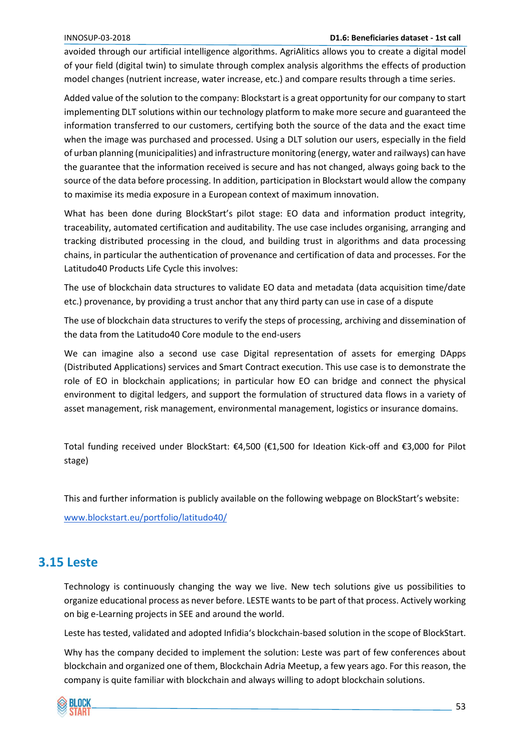#### INNOSUP-03-2018 **D1.6: Beneficiaries dataset - 1st call**

avoided through our artificial intelligence algorithms. AgriAlitics allows you to create a digital model of your field (digital twin) to simulate through complex analysis algorithms the effects of production model changes (nutrient increase, water increase, etc.) and compare results through a time series.

Added value of the solution to the company: Blockstart is a great opportunity for our company to start implementing DLT solutions within our technology platform to make more secure and guaranteed the information transferred to our customers, certifying both the source of the data and the exact time when the image was purchased and processed. Using a DLT solution our users, especially in the field of urban planning (municipalities) and infrastructure monitoring (energy, water and railways) can have the guarantee that the information received is secure and has not changed, always going back to the source of the data before processing. In addition, participation in Blockstart would allow the company to maximise its media exposure in a European context of maximum innovation.

What has been done during BlockStart's pilot stage: EO data and information product integrity, traceability, automated certification and auditability. The use case includes organising, arranging and tracking distributed processing in the cloud, and building trust in algorithms and data processing chains, in particular the authentication of provenance and certification of data and processes. For the Latitudo40 Products Life Cycle this involves:

The use of blockchain data structures to validate EO data and metadata (data acquisition time/date etc.) provenance, by providing a trust anchor that any third party can use in case of a dispute

The use of blockchain data structures to verify the steps of processing, archiving and dissemination of the data from the Latitudo40 Core module to the end-users

We can imagine also a second use case Digital representation of assets for emerging DApps (Distributed Applications) services and Smart Contract execution. This use case is to demonstrate the role of EO in blockchain applications; in particular how EO can bridge and connect the physical environment to digital ledgers, and support the formulation of structured data flows in a variety of asset management, risk management, environmental management, logistics or insurance domains.

Total funding received under BlockStart: €4,500 (€1,500 for Ideation Kick-off and €3,000 for Pilot stage)

This and further information is publicly available on the following webpage on BlockStart's website:

[www.blockstart.eu/portfolio/latitudo40/](https://www.blockstart.eu/portfolio/latitudo40/)

# <span id="page-52-0"></span>**3.15 Leste**

Technology is continuously changing the way we live. New tech solutions give us possibilities to organize educational process as never before. LESTE wants to be part of that process. Actively working on big e-Learning projects in SEE and around the world.

Leste has tested, validated and adopted Infidia's blockchain-based solution in the scope of BlockStart.

Why has the company decided to implement the solution: Leste was part of few conferences about blockchain and organized one of them, Blockchain Adria Meetup, a few years ago. For this reason, the company is quite familiar with blockchain and always willing to adopt blockchain solutions.

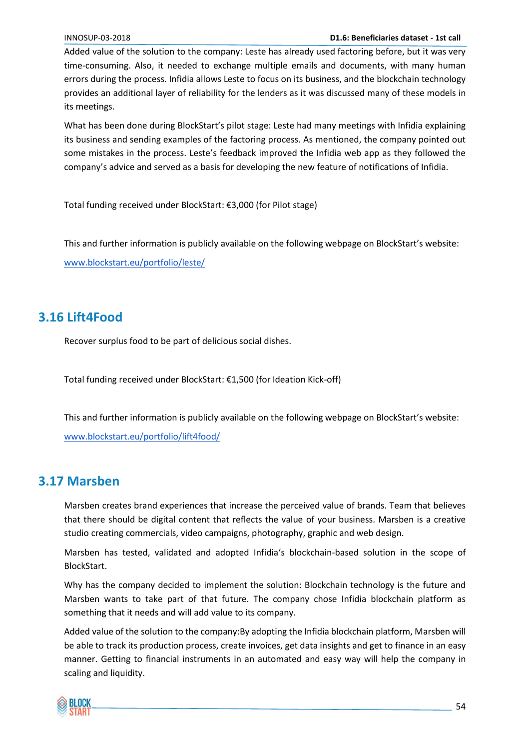#### INNOSUP-03-2018 **D1.6: Beneficiaries dataset - 1st call**

Added value of the solution to the company: Leste has already used factoring before, but it was very time-consuming. Also, it needed to exchange multiple emails and documents, with many human errors during the process. Infidia allows Leste to focus on its business, and the blockchain technology provides an additional layer of reliability for the lenders as it was discussed many of these models in its meetings.

What has been done during BlockStart's pilot stage: Leste had many meetings with Infidia explaining its business and sending examples of the factoring process. As mentioned, the company pointed out some mistakes in the process. Leste's feedback improved the Infidia web app as they followed the company's advice and served as a basis for developing the new feature of notifications of Infidia.

Total funding received under BlockStart: €3,000 (for Pilot stage)

This and further information is publicly available on the following webpage on BlockStart's website: [www.blockstart.eu/portfolio/leste/](http://www.blockstart.eu/portfolio/leste/)

# <span id="page-53-0"></span>**3.16 Lift4Food**

Recover surplus food to be part of delicious social dishes.

Total funding received under BlockStart: €1,500 (for Ideation Kick-off)

This and further information is publicly available on the following webpage on BlockStart's website: [www.blockstart.eu/portfolio/lift4food/](http://www.blockstart.eu/portfolio/lift4food/)

# <span id="page-53-1"></span>**3.17 Marsben**

Marsben creates brand experiences that increase the perceived value of brands. Team that believes that there should be digital content that reflects the value of your business. Marsben is a creative studio creating commercials, video campaigns, photography, graphic and web design.

Marsben has tested, validated and adopted Infidia's blockchain-based solution in the scope of BlockStart.

Why has the company decided to implement the solution: Blockchain technology is the future and Marsben wants to take part of that future. The company chose Infidia blockchain platform as something that it needs and will add value to its company.

Added value of the solution to the company:By adopting the Infidia blockchain platform, Marsben will be able to track its production process, create invoices, get data insights and get to finance in an easy manner. Getting to financial instruments in an automated and easy way will help the company in scaling and liquidity.

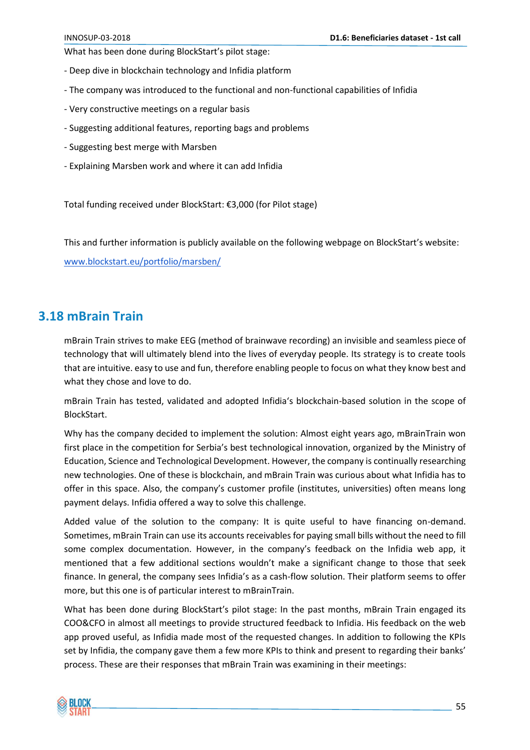What has been done during BlockStart's pilot stage:

- Deep dive in blockchain technology and Infidia platform
- The company was introduced to the functional and non-functional capabilities of Infidia
- Very constructive meetings on a regular basis
- Suggesting additional features, reporting bags and problems
- Suggesting best merge with Marsben
- Explaining Marsben work and where it can add Infidia

Total funding received under BlockStart: €3,000 (for Pilot stage)

This and further information is publicly available on the following webpage on BlockStart's website:

[www.blockstart.eu/portfolio/marsben/](http://www.blockstart.eu/portfolio/marsben/)

#### <span id="page-54-0"></span>**3.18 mBrain Train**

mBrain Train strives to make EEG (method of brainwave recording) an invisible and seamless piece of technology that will ultimately blend into the lives of everyday people. Its strategy is to create tools that are intuitive. easy to use and fun, therefore enabling people to focus on what they know best and what they chose and love to do.

mBrain Train has tested, validated and adopted Infidia's blockchain-based solution in the scope of BlockStart.

Why has the company decided to implement the solution: Almost eight years ago, mBrainTrain won first place in the competition for Serbia's best technological innovation, organized by the Ministry of Education, Science and Technological Development. However, the company is continually researching new technologies. One of these is blockchain, and mBrain Train was curious about what Infidia has to offer in this space. Also, the company's customer profile (institutes, universities) often means long payment delays. Infidia offered a way to solve this challenge.

Added value of the solution to the company: It is quite useful to have financing on-demand. Sometimes, mBrain Train can use its accounts receivables for paying small bills without the need to fill some complex documentation. However, in the company's feedback on the Infidia web app, it mentioned that a few additional sections wouldn't make a significant change to those that seek finance. In general, the company sees Infidia's as a cash-flow solution. Their platform seems to offer more, but this one is of particular interest to mBrainTrain.

What has been done during BlockStart's pilot stage: In the past months, mBrain Train engaged its COO&CFO in almost all meetings to provide structured feedback to Infidia. His feedback on the web app proved useful, as Infidia made most of the requested changes. In addition to following the KPIs set by Infidia, the company gave them a few more KPIs to think and present to regarding their banks' process. These are their responses that mBrain Train was examining in their meetings:

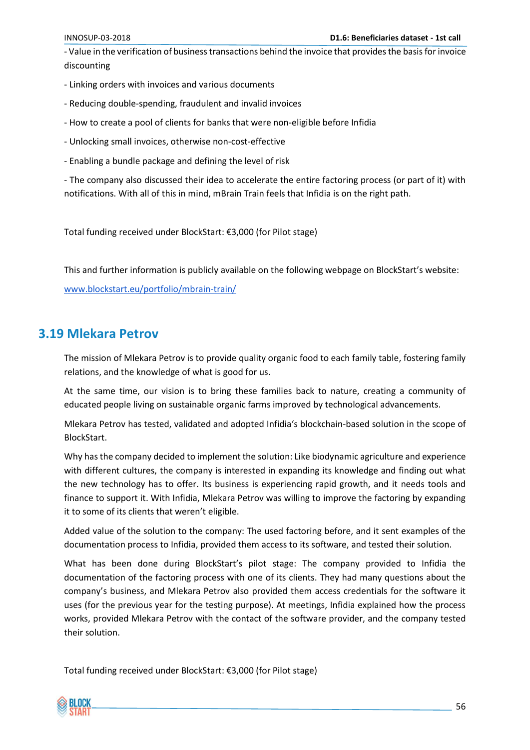- Value in the verification of business transactions behind the invoice that provides the basis for invoice discounting

- Linking orders with invoices and various documents
- Reducing double-spending, fraudulent and invalid invoices
- How to create a pool of clients for banks that were non-eligible before Infidia
- Unlocking small invoices, otherwise non-cost-effective
- Enabling a bundle package and defining the level of risk

- The company also discussed their idea to accelerate the entire factoring process (or part of it) with notifications. With all of this in mind, mBrain Train feels that Infidia is on the right path.

Total funding received under BlockStart: €3,000 (for Pilot stage)

This and further information is publicly available on the following webpage on BlockStart's website:

[www.blockstart.eu/portfolio/mbrain-train/](https://www.blockstart.eu/portfolio/mbrain-train/)

# <span id="page-55-0"></span>**3.19 Mlekara Petrov**

The mission of Mlekara Petrov is to provide quality organic food to each family table, fostering family relations, and the knowledge of what is good for us.

At the same time, our vision is to bring these families back to nature, creating a community of educated people living on sustainable organic farms improved by technological advancements.

Mlekara Petrov has tested, validated and adopted Infidia's blockchain-based solution in the scope of BlockStart.

Why has the company decided to implement the solution: Like biodynamic agriculture and experience with different cultures, the company is interested in expanding its knowledge and finding out what the new technology has to offer. Its business is experiencing rapid growth, and it needs tools and finance to support it. With Infidia, Mlekara Petrov was willing to improve the factoring by expanding it to some of its clients that weren't eligible.

Added value of the solution to the company: The used factoring before, and it sent examples of the documentation process to Infidia, provided them access to its software, and tested their solution.

What has been done during BlockStart's pilot stage: The company provided to Infidia the documentation of the factoring process with one of its clients. They had many questions about the company's business, and Mlekara Petrov also provided them access credentials for the software it uses (for the previous year for the testing purpose). At meetings, Infidia explained how the process works, provided Mlekara Petrov with the contact of the software provider, and the company tested their solution.

Total funding received under BlockStart: €3,000 (for Pilot stage)

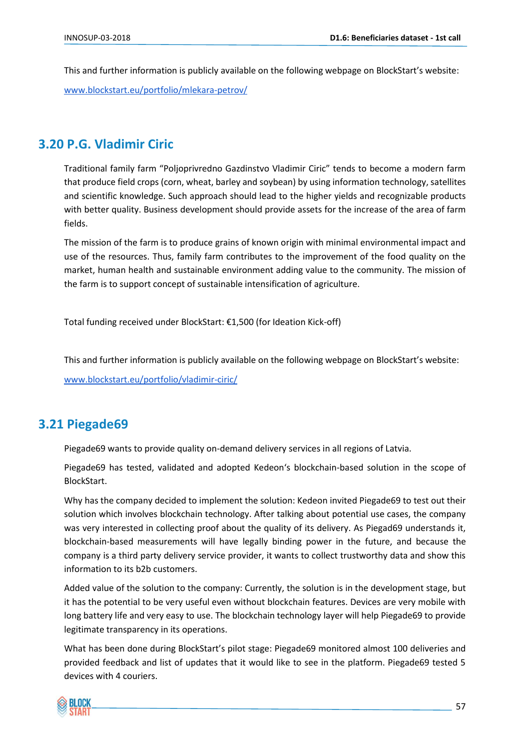This and further information is publicly available on the following webpage on BlockStart's website: [www.blockstart.eu/portfolio/mlekara-petrov/](http://www.blockstart.eu/portfolio/mlekara-petrov/)

# <span id="page-56-0"></span>**3.20 P.G. Vladimir Ciric**

Traditional family farm "Poljoprivredno Gazdinstvo Vladimir Ciric" tends to become a modern farm that produce field crops (corn, wheat, barley and soybean) by using information technology, satellites and scientific knowledge. Such approach should lead to the higher yields and recognizable products with better quality. Business development should provide assets for the increase of the area of farm fields.

The mission of the farm is to produce grains of known origin with minimal environmental impact and use of the resources. Thus, family farm contributes to the improvement of the food quality on the market, human health and sustainable environment adding value to the community. The mission of the farm is to support concept of sustainable intensification of agriculture.

Total funding received under BlockStart: €1,500 (for Ideation Kick-off)

This and further information is publicly available on the following webpage on BlockStart's website:

[www.blockstart.eu/portfolio/vladimir-ciric/](https://www.blockstart.eu/portfolio/vladimir-ciric/)

# <span id="page-56-1"></span>**3.21 Piegade69**

Piegade69 wants to provide quality on-demand delivery services in all regions of Latvia.

Piegade69 has tested, validated and adopted Kedeon's blockchain-based solution in the scope of BlockStart.

Why has the company decided to implement the solution: Kedeon invited Piegade69 to test out their solution which involves blockchain technology. After talking about potential use cases, the company was very interested in collecting proof about the quality of its delivery. As Piegad69 understands it, blockchain-based measurements will have legally binding power in the future, and because the company is a third party delivery service provider, it wants to collect trustworthy data and show this information to its b2b customers.

Added value of the solution to the company: Currently, the solution is in the development stage, but it has the potential to be very useful even without blockchain features. Devices are very mobile with long battery life and very easy to use. The blockchain technology layer will help Piegade69 to provide legitimate transparency in its operations.

What has been done during BlockStart's pilot stage: Piegade69 monitored almost 100 deliveries and provided feedback and list of updates that it would like to see in the platform. Piegade69 tested 5 devices with 4 couriers.

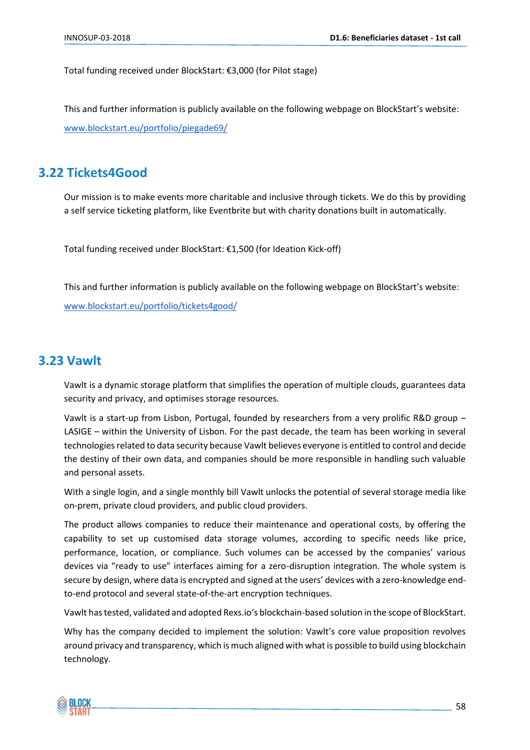Total funding received under BlockStart: €3,000 (for Pilot stage)

This and further information is publicly available on the following webpage on BlockStart's website: [www.blockstart.eu/portfolio/piegade69/](https://www.blockstart.eu/portfolio/piegade69/)

# <span id="page-57-0"></span>**3.22 Tickets4Good**

Our mission is to make events more charitable and inclusive through tickets. We do this by providing a self service ticketing platform, like Eventbrite but with charity donations built in automatically.

Total funding received under BlockStart: €1,500 (for Ideation Kick-off)

This and further information is publicly available on the following webpage on BlockStart's website: [www.blockstart.eu/portfolio/tickets4good/](https://www.blockstart.eu/portfolio/tickets4good/)

## <span id="page-57-1"></span>**3.23 Vawlt**

Vawlt is a dynamic storage platform that simplifies the operation of multiple clouds, guarantees data security and privacy, and optimises storage resources.

Vawlt is a start-up from Lisbon, Portugal, founded by researchers from a very prolific R&D group – LASIGE – within the University of Lisbon. For the past decade, the team has been working in several technologies related to data security because Vawlt believes everyone is entitled to control and decide the destiny of their own data, and companies should be more responsible in handling such valuable and personal assets.

With a single login, and a single monthly bill Vawlt unlocks the potential of several storage media like on-prem, private cloud providers, and public cloud providers.

The product allows companies to reduce their maintenance and operational costs, by offering the capability to set up customised data storage volumes, according to specific needs like price, performance, location, or compliance. Such volumes can be accessed by the companies' various devices via "ready to use" interfaces aiming for a zero-disruption integration. The whole system is secure by design, where data is encrypted and signed at the users' devices with a zero-knowledge endto-end protocol and several state-of-the-art encryption techniques.

Vawlt has tested, validated and adopted Rexs.io's blockchain-based solution in the scope of BlockStart.

Why has the company decided to implement the solution: Vawlt's core value proposition revolves around privacy and transparency, which is much aligned with what is possible to build using blockchain technology.

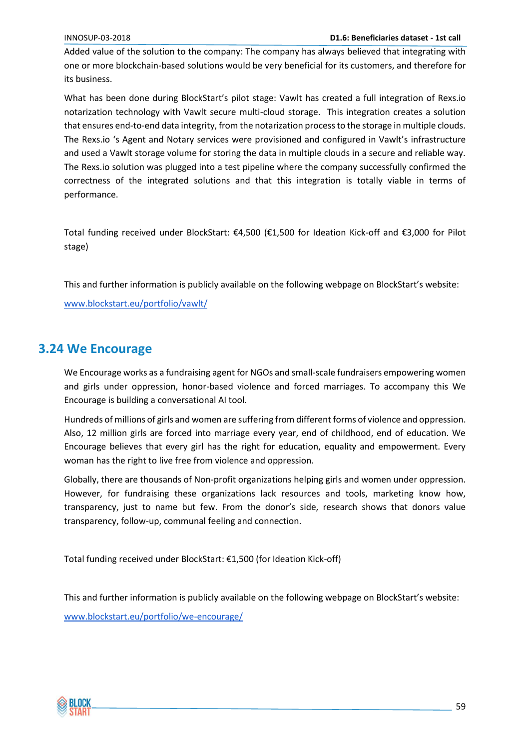Added value of the solution to the company: The company has always believed that integrating with one or more blockchain-based solutions would be very beneficial for its customers, and therefore for its business.

What has been done during BlockStart's pilot stage: Vawlt has created a full integration of Rexs.io notarization technology with Vawlt secure multi-cloud storage. This integration creates a solution that ensures end-to-end data integrity, from the notarization process to the storage in multiple clouds. The Rexs.io 's Agent and Notary services were provisioned and configured in Vawlt's infrastructure and used a Vawlt storage volume for storing the data in multiple clouds in a secure and reliable way. The Rexs.io solution was plugged into a test pipeline where the company successfully confirmed the correctness of the integrated solutions and that this integration is totally viable in terms of performance.

Total funding received under BlockStart: €4,500 (€1,500 for Ideation Kick-off and €3,000 for Pilot stage)

This and further information is publicly available on the following webpage on BlockStart's website:

[www.blockstart.eu/portfolio/vawlt/](https://www.blockstart.eu/portfolio/vawlt/)

## <span id="page-58-0"></span>**3.24 We Encourage**

We Encourage works as a fundraising agent for NGOs and small-scale fundraisers empowering women and girls under oppression, honor-based violence and forced marriages. To accompany this We Encourage is building a conversational AI tool.

Hundreds of millions of girls and women are suffering from different forms of violence and oppression. Also, 12 million girls are forced into marriage every year, end of childhood, end of education. We Encourage believes that every girl has the right for education, equality and empowerment. Every woman has the right to live free from violence and oppression.

Globally, there are thousands of Non-profit organizations helping girls and women under oppression. However, for fundraising these organizations lack resources and tools, marketing know how, transparency, just to name but few. From the donor's side, research shows that donors value transparency, follow-up, communal feeling and connection.

Total funding received under BlockStart: €1,500 (for Ideation Kick-off)

This and further information is publicly available on the following webpage on BlockStart's website:

[www.blockstart.eu/portfolio/we-encourage/](https://www.blockstart.eu/portfolio/we-encourage/)

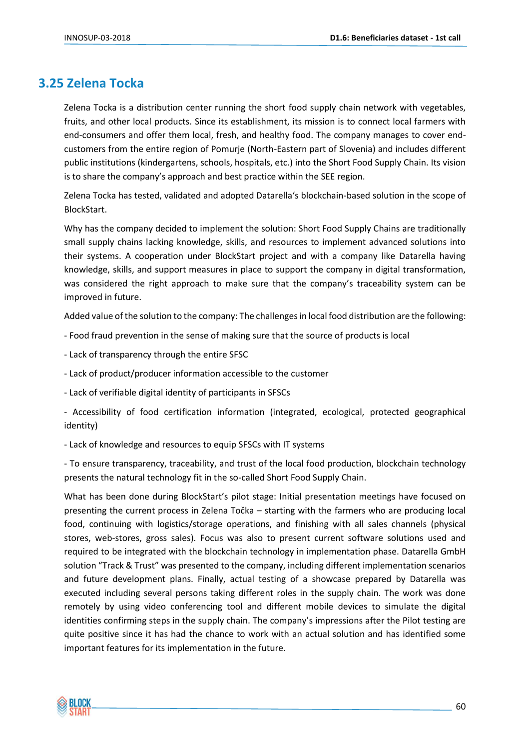# <span id="page-59-0"></span>**3.25 Zelena Tocka**

Zelena Tocka is a distribution center running the short food supply chain network with vegetables, fruits, and other local products. Since its establishment, its mission is to connect local farmers with end-consumers and offer them local, fresh, and healthy food. The company manages to cover endcustomers from the entire region of Pomurje (North-Eastern part of Slovenia) and includes different public institutions (kindergartens, schools, hospitals, etc.) into the Short Food Supply Chain. Its vision is to share the company's approach and best practice within the SEE region.

Zelena Tocka has tested, validated and adopted Datarella's blockchain-based solution in the scope of BlockStart.

Why has the company decided to implement the solution: Short Food Supply Chains are traditionally small supply chains lacking knowledge, skills, and resources to implement advanced solutions into their systems. A cooperation under BlockStart project and with a company like Datarella having knowledge, skills, and support measures in place to support the company in digital transformation, was considered the right approach to make sure that the company's traceability system can be improved in future.

Added value of the solution to the company: The challenges in local food distribution are the following:

- Food fraud prevention in the sense of making sure that the source of products is local
- Lack of transparency through the entire SFSC
- Lack of product/producer information accessible to the customer
- Lack of verifiable digital identity of participants in SFSCs
- Accessibility of food certification information (integrated, ecological, protected geographical identity)
- Lack of knowledge and resources to equip SFSCs with IT systems

- To ensure transparency, traceability, and trust of the local food production, blockchain technology presents the natural technology fit in the so-called Short Food Supply Chain.

What has been done during BlockStart's pilot stage: Initial presentation meetings have focused on presenting the current process in Zelena Točka – starting with the farmers who are producing local food, continuing with logistics/storage operations, and finishing with all sales channels (physical stores, web-stores, gross sales). Focus was also to present current software solutions used and required to be integrated with the blockchain technology in implementation phase. Datarella GmbH solution "Track & Trust" was presented to the company, including different implementation scenarios and future development plans. Finally, actual testing of a showcase prepared by Datarella was executed including several persons taking different roles in the supply chain. The work was done remotely by using video conferencing tool and different mobile devices to simulate the digital identities confirming steps in the supply chain. The company's impressions after the Pilot testing are quite positive since it has had the chance to work with an actual solution and has identified some important features for its implementation in the future.